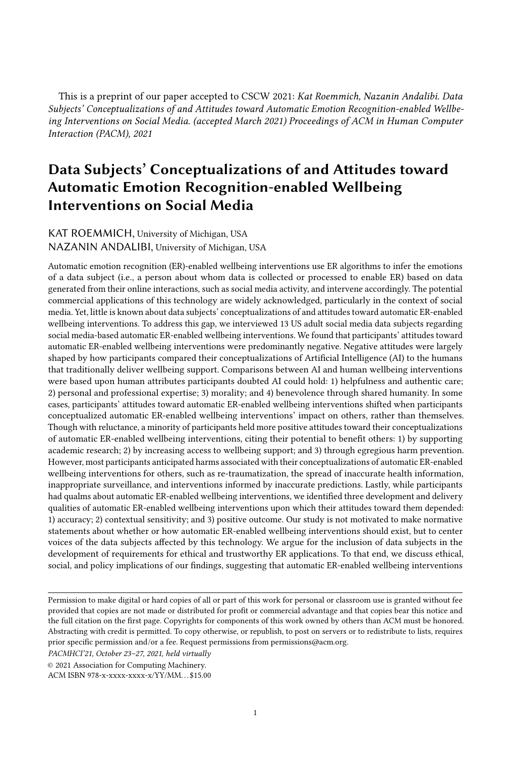This is a preprint of our paper accepted to CSCW 2021: Kat Roemmich, Nazanin Andalibi. Data Subjects' Conceptualizations of and Attitudes toward Automatic Emotion Recognition-enabled Wellbeing Interventions on Social Media. (accepted March 2021) Proceedings of ACM in Human Computer Interaction (PACM), 2021

# Data Subjects' Conceptualizations of and Attitudes toward Automatic Emotion Recognition-enabled Wellbeing Interventions on Social Media

### KAT ROEMMICH, University of Michigan, USA NAZANIN ANDALIBI, University of Michigan, USA

Automatic emotion recognition (ER)-enabled wellbeing interventions use ER algorithms to infer the emotions of a data subject (i.e., a person about whom data is collected or processed to enable ER) based on data generated from their online interactions, such as social media activity, and intervene accordingly. The potential commercial applications of this technology are widely acknowledged, particularly in the context of social media. Yet, little is known about data subjects' conceptualizations of and attitudes toward automatic ER-enabled wellbeing interventions. To address this gap, we interviewed 13 US adult social media data subjects regarding social media-based automatic ER-enabled wellbeing interventions. We found that participants' attitudes toward automatic ER-enabled wellbeing interventions were predominantly negative. Negative attitudes were largely shaped by how participants compared their conceptualizations of Artificial Intelligence (AI) to the humans that traditionally deliver wellbeing support. Comparisons between AI and human wellbeing interventions were based upon human attributes participants doubted AI could hold: 1) helpfulness and authentic care; 2) personal and professional expertise; 3) morality; and 4) benevolence through shared humanity. In some cases, participants' attitudes toward automatic ER-enabled wellbeing interventions shifted when participants conceptualized automatic ER-enabled wellbeing interventions' impact on others, rather than themselves. Though with reluctance, a minority of participants held more positive attitudes toward their conceptualizations of automatic ER-enabled wellbeing interventions, citing their potential to benefit others: 1) by supporting academic research; 2) by increasing access to wellbeing support; and 3) through egregious harm prevention. However, most participants anticipated harms associated with their conceptualizations of automatic ER-enabled wellbeing interventions for others, such as re-traumatization, the spread of inaccurate health information, inappropriate surveillance, and interventions informed by inaccurate predictions. Lastly, while participants had qualms about automatic ER-enabled wellbeing interventions, we identified three development and delivery qualities of automatic ER-enabled wellbeing interventions upon which their attitudes toward them depended: 1) accuracy; 2) contextual sensitivity; and 3) positive outcome. Our study is not motivated to make normative statements about whether or how automatic ER-enabled wellbeing interventions should exist, but to center voices of the data subjects affected by this technology. We argue for the inclusion of data subjects in the development of requirements for ethical and trustworthy ER applications. To that end, we discuss ethical, social, and policy implications of our findings, suggesting that automatic ER-enabled wellbeing interventions

PACMHCI'21, October 23–27, 2021, held virtually

© 2021 Association for Computing Machinery.

Permission to make digital or hard copies of all or part of this work for personal or classroom use is granted without fee provided that copies are not made or distributed for profit or commercial advantage and that copies bear this notice and the full citation on the first page. Copyrights for components of this work owned by others than ACM must be honored. Abstracting with credit is permitted. To copy otherwise, or republish, to post on servers or to redistribute to lists, requires prior specific permission and/or a fee. Request permissions from permissions@acm.org.

ACM ISBN 978-x-xxxx-xxxx-x/YY/MM. . . \$15.00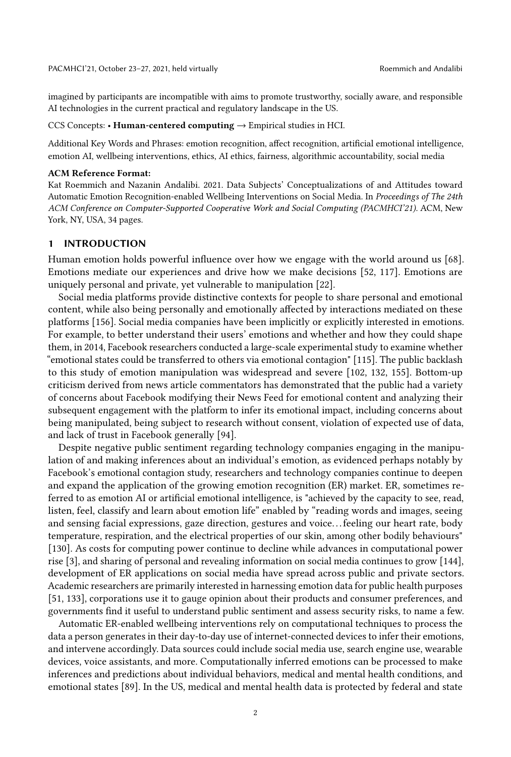imagined by participants are incompatible with aims to promote trustworthy, socially aware, and responsible AI technologies in the current practical and regulatory landscape in the US.

CCS Concepts: • Human-centered computing  $\rightarrow$  Empirical studies in HCI.

Additional Key Words and Phrases: emotion recognition, affect recognition, artificial emotional intelligence, emotion AI, wellbeing interventions, ethics, AI ethics, fairness, algorithmic accountability, social media

#### ACM Reference Format:

Kat Roemmich and Nazanin Andalibi. 2021. Data Subjects' Conceptualizations of and Attitudes toward Automatic Emotion Recognition-enabled Wellbeing Interventions on Social Media. In Proceedings of The 24th ACM Conference on Computer-Supported Cooperative Work and Social Computing (PACMHCI'21). ACM, New York, NY, USA, [34](#page-33-0) pages.

#### 1 INTRODUCTION

Human emotion holds powerful influence over how we engage with the world around us [\[68\]](#page-28-0). Emotions mediate our experiences and drive how we make decisions [\[52,](#page-27-0) [117\]](#page-30-0). Emotions are uniquely personal and private, yet vulnerable to manipulation [\[22\]](#page-26-0).

Social media platforms provide distinctive contexts for people to share personal and emotional content, while also being personally and emotionally affected by interactions mediated on these platforms [\[156\]](#page-32-0). Social media companies have been implicitly or explicitly interested in emotions. For example, to better understand their users' emotions and whether and how they could shape them, in 2014, Facebook researchers conducted a large-scale experimental study to examine whether "emotional states could be transferred to others via emotional contagion" [\[115\]](#page-30-1). The public backlash to this study of emotion manipulation was widespread and severe [\[102,](#page-30-2) [132,](#page-31-0) [155\]](#page-32-1). Bottom-up criticism derived from news article commentators has demonstrated that the public had a variety of concerns about Facebook modifying their News Feed for emotional content and analyzing their subsequent engagement with the platform to infer its emotional impact, including concerns about being manipulated, being subject to research without consent, violation of expected use of data, and lack of trust in Facebook generally [\[94\]](#page-29-0).

Despite negative public sentiment regarding technology companies engaging in the manipulation of and making inferences about an individual's emotion, as evidenced perhaps notably by Facebook's emotional contagion study, researchers and technology companies continue to deepen and expand the application of the growing emotion recognition (ER) market. ER, sometimes referred to as emotion AI or artificial emotional intelligence, is "achieved by the capacity to see, read, listen, feel, classify and learn about emotion life" enabled by "reading words and images, seeing and sensing facial expressions, gaze direction, gestures and voice. . . feeling our heart rate, body temperature, respiration, and the electrical properties of our skin, among other bodily behaviours" [\[130\]](#page-31-1). As costs for computing power continue to decline while advances in computational power rise [\[3\]](#page-25-0), and sharing of personal and revealing information on social media continues to grow [\[144\]](#page-32-2), development of ER applications on social media have spread across public and private sectors. Academic researchers are primarily interested in harnessing emotion data for public health purposes [\[51,](#page-27-1) [133\]](#page-31-2), corporations use it to gauge opinion about their products and consumer preferences, and governments find it useful to understand public sentiment and assess security risks, to name a few.

Automatic ER-enabled wellbeing interventions rely on computational techniques to process the data a person generates in their day-to-day use of internet-connected devices to infer their emotions, and intervene accordingly. Data sources could include social media use, search engine use, wearable devices, voice assistants, and more. Computationally inferred emotions can be processed to make inferences and predictions about individual behaviors, medical and mental health conditions, and emotional states [\[89\]](#page-29-1). In the US, medical and mental health data is protected by federal and state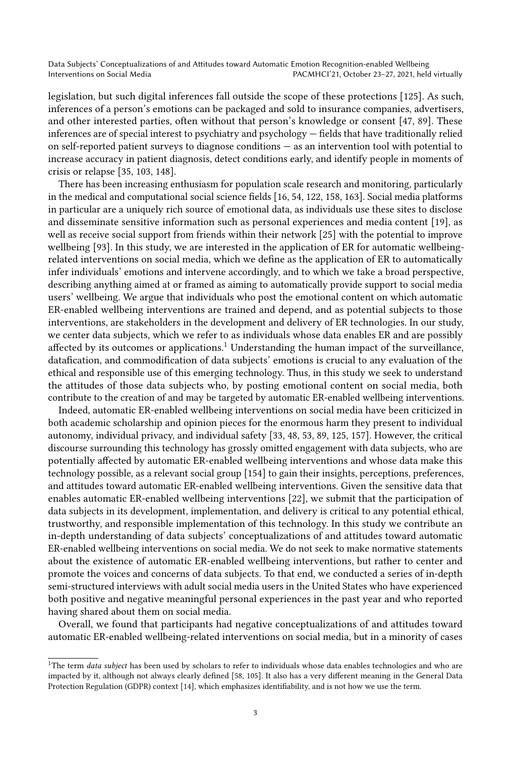legislation, but such digital inferences fall outside the scope of these protections [\[125\]](#page-31-3). As such, inferences of a person's emotions can be packaged and sold to insurance companies, advertisers, and other interested parties, often without that person's knowledge or consent [\[47,](#page-27-2) [89\]](#page-29-1). These inferences are of special interest to psychiatry and psychology — fields that have traditionally relied on self-reported patient surveys to diagnose conditions — as an intervention tool with potential to increase accuracy in patient diagnosis, detect conditions early, and identify people in moments of crisis or relapse [\[35,](#page-26-1) [103,](#page-30-3) [148\]](#page-32-3).

There has been increasing enthusiasm for population scale research and monitoring, particularly in the medical and computational social science fields [\[16,](#page-25-1) [54,](#page-27-3) [122,](#page-31-4) [158,](#page-32-4) [163\]](#page-33-1). Social media platforms in particular are a uniquely rich source of emotional data, as individuals use these sites to disclose and disseminate sensitive information such as personal experiences and media content [\[19\]](#page-26-2), as well as receive social support from friends within their network [\[25\]](#page-26-3) with the potential to improve wellbeing [\[93\]](#page-29-2). In this study, we are interested in the application of ER for automatic wellbeingrelated interventions on social media, which we define as the application of ER to automatically infer individuals' emotions and intervene accordingly, and to which we take a broad perspective, describing anything aimed at or framed as aiming to automatically provide support to social media users' wellbeing. We argue that individuals who post the emotional content on which automatic ER-enabled wellbeing interventions are trained and depend, and as potential subjects to those interventions, are stakeholders in the development and delivery of ER technologies. In our study, we center data subjects, which we refer to as individuals whose data enables ER and are possibly affected by its outcomes or applications.<sup>[1](#page-2-0)</sup> Understanding the human impact of the surveillance, datafication, and commodification of data subjects' emotions is crucial to any evaluation of the ethical and responsible use of this emerging technology. Thus, in this study we seek to understand the attitudes of those data subjects who, by posting emotional content on social media, both contribute to the creation of and may be targeted by automatic ER-enabled wellbeing interventions.

Indeed, automatic ER-enabled wellbeing interventions on social media have been criticized in both academic scholarship and opinion pieces for the enormous harm they present to individual autonomy, individual privacy, and individual safety [\[33,](#page-26-4) [48,](#page-27-4) [53,](#page-27-5) [89,](#page-29-1) [125,](#page-31-3) [157\]](#page-32-5). However, the critical discourse surrounding this technology has grossly omitted engagement with data subjects, who are potentially affected by automatic ER-enabled wellbeing interventions and whose data make this technology possible, as a relevant social group [\[154\]](#page-32-6) to gain their insights, perceptions, preferences, and attitudes toward automatic ER-enabled wellbeing interventions. Given the sensitive data that enables automatic ER-enabled wellbeing interventions [\[22\]](#page-26-0), we submit that the participation of data subjects in its development, implementation, and delivery is critical to any potential ethical, trustworthy, and responsible implementation of this technology. In this study we contribute an in-depth understanding of data subjects' conceptualizations of and attitudes toward automatic ER-enabled wellbeing interventions on social media. We do not seek to make normative statements about the existence of automatic ER-enabled wellbeing interventions, but rather to center and promote the voices and concerns of data subjects. To that end, we conducted a series of in-depth semi-structured interviews with adult social media users in the United States who have experienced both positive and negative meaningful personal experiences in the past year and who reported having shared about them on social media.

Overall, we found that participants had negative conceptualizations of and attitudes toward automatic ER-enabled wellbeing-related interventions on social media, but in a minority of cases

<span id="page-2-0"></span><sup>&</sup>lt;sup>1</sup>The term *data subject* has been used by scholars to refer to individuals whose data enables technologies and who are impacted by it, although not always clearly defined [\[58,](#page-28-1) [105\]](#page-30-4). It also has a very different meaning in the General Data Protection Regulation (GDPR) context [\[14\]](#page-25-2), which emphasizes identifiability, and is not how we use the term.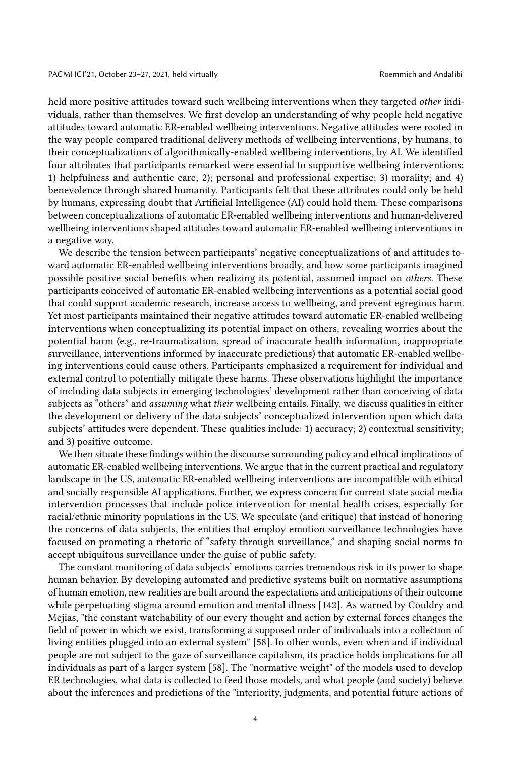held more positive attitudes toward such wellbeing interventions when they targeted other individuals, rather than themselves. We first develop an understanding of why people held negative attitudes toward automatic ER-enabled wellbeing interventions. Negative attitudes were rooted in the way people compared traditional delivery methods of wellbeing interventions, by humans, to their conceptualizations of algorithmically-enabled wellbeing interventions, by AI. We identified four attributes that participants remarked were essential to supportive wellbeing interventions: 1) helpfulness and authentic care; 2); personal and professional expertise; 3) morality; and 4) benevolence through shared humanity. Participants felt that these attributes could only be held by humans, expressing doubt that Artificial Intelligence (AI) could hold them. These comparisons between conceptualizations of automatic ER-enabled wellbeing interventions and human-delivered wellbeing interventions shaped attitudes toward automatic ER-enabled wellbeing interventions in a negative way.

We describe the tension between participants' negative conceptualizations of and attitudes toward automatic ER-enabled wellbeing interventions broadly, and how some participants imagined possible positive social benefits when realizing its potential, assumed impact on others. These participants conceived of automatic ER-enabled wellbeing interventions as a potential social good that could support academic research, increase access to wellbeing, and prevent egregious harm. Yet most participants maintained their negative attitudes toward automatic ER-enabled wellbeing interventions when conceptualizing its potential impact on others, revealing worries about the potential harm (e.g., re-traumatization, spread of inaccurate health information, inappropriate surveillance, interventions informed by inaccurate predictions) that automatic ER-enabled wellbeing interventions could cause others. Participants emphasized a requirement for individual and external control to potentially mitigate these harms. These observations highlight the importance of including data subjects in emerging technologies' development rather than conceiving of data subjects as "others" and *assuming* what their wellbeing entails. Finally, we discuss qualities in either the development or delivery of the data subjects' conceptualized intervention upon which data subjects' attitudes were dependent. These qualities include: 1) accuracy; 2) contextual sensitivity; and 3) positive outcome.

We then situate these findings within the discourse surrounding policy and ethical implications of automatic ER-enabled wellbeing interventions. We argue that in the current practical and regulatory landscape in the US, automatic ER-enabled wellbeing interventions are incompatible with ethical and socially responsible AI applications. Further, we express concern for current state social media intervention processes that include police intervention for mental health crises, especially for racial/ethnic minority populations in the US. We speculate (and critique) that instead of honoring the concerns of data subjects, the entities that employ emotion surveillance technologies have focused on promoting a rhetoric of "safety through surveillance," and shaping social norms to accept ubiquitous surveillance under the guise of public safety.

The constant monitoring of data subjects' emotions carries tremendous risk in its power to shape human behavior. By developing automated and predictive systems built on normative assumptions of human emotion, new realities are built around the expectations and anticipations of their outcome while perpetuating stigma around emotion and mental illness [\[142\]](#page-32-7). As warned by Couldry and Mejias, "the constant watchability of our every thought and action by external forces changes the field of power in which we exist, transforming a supposed order of individuals into a collection of living entities plugged into an external system" [\[58\]](#page-28-1). In other words, even when and if individual people are not subject to the gaze of surveillance capitalism, its practice holds implications for all individuals as part of a larger system [\[58\]](#page-28-1). The "normative weight" of the models used to develop ER technologies, what data is collected to feed those models, and what people (and society) believe about the inferences and predictions of the "interiority, judgments, and potential future actions of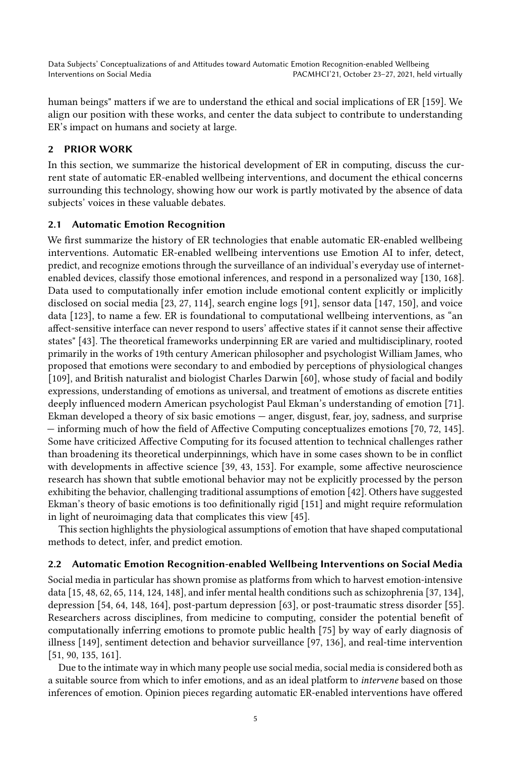human beings" matters if we are to understand the ethical and social implications of ER [\[159\]](#page-32-8). We align our position with these works, and center the data subject to contribute to understanding ER's impact on humans and society at large.

### 2 PRIOR WORK

In this section, we summarize the historical development of ER in computing, discuss the current state of automatic ER-enabled wellbeing interventions, and document the ethical concerns surrounding this technology, showing how our work is partly motivated by the absence of data subjects' voices in these valuable debates.

### 2.1 Automatic Emotion Recognition

We first summarize the history of ER technologies that enable automatic ER-enabled wellbeing interventions. Automatic ER-enabled wellbeing interventions use Emotion AI to infer, detect, predict, and recognize emotions through the surveillance of an individual's everyday use of internetenabled devices, classify those emotional inferences, and respond in a personalized way [\[130,](#page-31-1) [168\]](#page-33-2). Data used to computationally infer emotion include emotional content explicitly or implicitly disclosed on social media [\[23,](#page-26-5) [27,](#page-26-6) [114\]](#page-30-5), search engine logs [\[91\]](#page-29-3), sensor data [\[147,](#page-32-9) [150\]](#page-32-10), and voice data [\[123\]](#page-31-5), to name a few. ER is foundational to computational wellbeing interventions, as "an affect-sensitive interface can never respond to users' affective states if it cannot sense their affective states" [\[43\]](#page-27-6). The theoretical frameworks underpinning ER are varied and multidisciplinary, rooted primarily in the works of 19th century American philosopher and psychologist William James, who proposed that emotions were secondary to and embodied by perceptions of physiological changes [\[109\]](#page-30-6), and British naturalist and biologist Charles Darwin [\[60\]](#page-28-2), whose study of facial and bodily expressions, understanding of emotions as universal, and treatment of emotions as discrete entities deeply influenced modern American psychologist Paul Ekman's understanding of emotion [\[71\]](#page-28-3). Ekman developed a theory of six basic emotions — anger, disgust, fear, joy, sadness, and surprise — informing much of how the field of Affective Computing conceptualizes emotions [\[70,](#page-28-4) [72,](#page-28-5) [145\]](#page-32-11). Some have criticized Affective Computing for its focused attention to technical challenges rather than broadening its theoretical underpinnings, which have in some cases shown to be in conflict with developments in affective science [\[39,](#page-27-7) [43,](#page-27-6) [153\]](#page-32-12). For example, some affective neuroscience research has shown that subtle emotional behavior may not be explicitly processed by the person exhibiting the behavior, challenging traditional assumptions of emotion [\[42\]](#page-27-8). Others have suggested Ekman's theory of basic emotions is too definitionally rigid [\[151\]](#page-32-13) and might require reformulation in light of neuroimaging data that complicates this view [\[45\]](#page-27-9).

This section highlights the physiological assumptions of emotion that have shaped computational methods to detect, infer, and predict emotion.

#### 2.2 Automatic Emotion Recognition-enabled Wellbeing Interventions on Social Media

Social media in particular has shown promise as platforms from which to harvest emotion-intensive data [\[15,](#page-25-3) [48,](#page-27-4) [62,](#page-28-6) [65,](#page-28-7) [114,](#page-30-5) [124,](#page-31-6) [148\]](#page-32-3), and infer mental health conditions such as schizophrenia [\[37,](#page-27-10) [134\]](#page-31-7), depression [\[54,](#page-27-3) [64,](#page-28-8) [148,](#page-32-3) [164\]](#page-33-3), post-partum depression [\[63\]](#page-28-9), or post-traumatic stress disorder [\[55\]](#page-27-11). Researchers across disciplines, from medicine to computing, consider the potential benefit of computationally inferring emotions to promote public health [\[75\]](#page-28-10) by way of early diagnosis of illness [\[149\]](#page-32-14), sentiment detection and behavior surveillance [\[97,](#page-30-7) [136\]](#page-31-8), and real-time intervention [\[51,](#page-27-1) [90,](#page-29-4) [135,](#page-31-9) [161\]](#page-32-15).

Due to the intimate way in which many people use social media, social media is considered both as a suitable source from which to infer emotions, and as an ideal platform to intervene based on those inferences of emotion. Opinion pieces regarding automatic ER-enabled interventions have offered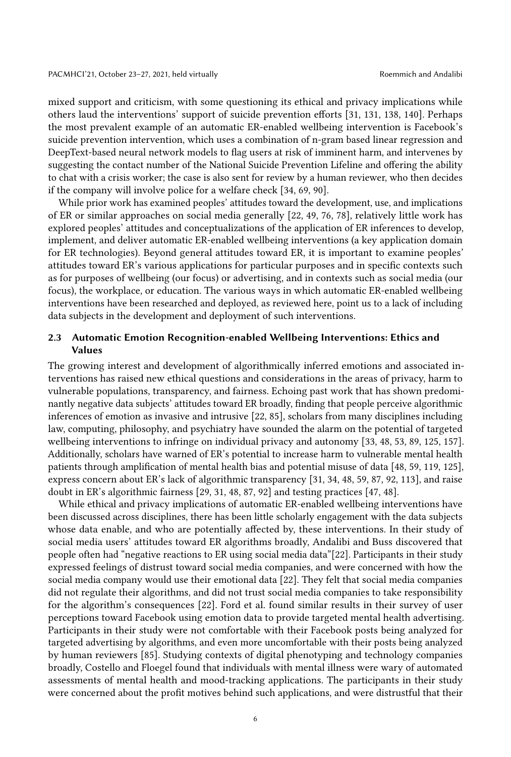mixed support and criticism, with some questioning its ethical and privacy implications while others laud the interventions' support of suicide prevention efforts [\[31,](#page-26-7) [131,](#page-31-10) [138,](#page-31-11) [140\]](#page-32-16). Perhaps the most prevalent example of an automatic ER-enabled wellbeing intervention is Facebook's suicide prevention intervention, which uses a combination of n-gram based linear regression and DeepText-based neural network models to flag users at risk of imminent harm, and intervenes by suggesting the contact number of the National Suicide Prevention Lifeline and offering the ability to chat with a crisis worker; the case is also sent for review by a human reviewer, who then decides if the company will involve police for a welfare check [\[34,](#page-26-8) [69,](#page-28-11) [90\]](#page-29-4).

While prior work has examined peoples' attitudes toward the development, use, and implications of ER or similar approaches on social media generally [\[22,](#page-26-0) [49,](#page-27-12) [76,](#page-28-12) [78\]](#page-29-5), relatively little work has explored peoples' attitudes and conceptualizations of the application of ER inferences to develop, implement, and deliver automatic ER-enabled wellbeing interventions (a key application domain for ER technologies). Beyond general attitudes toward ER, it is important to examine peoples' attitudes toward ER's various applications for particular purposes and in specific contexts such as for purposes of wellbeing (our focus) or advertising, and in contexts such as social media (our focus), the workplace, or education. The various ways in which automatic ER-enabled wellbeing interventions have been researched and deployed, as reviewed here, point us to a lack of including data subjects in the development and deployment of such interventions.

### 2.3 Automatic Emotion Recognition-enabled Wellbeing Interventions: Ethics and Values

The growing interest and development of algorithmically inferred emotions and associated interventions has raised new ethical questions and considerations in the areas of privacy, harm to vulnerable populations, transparency, and fairness. Echoing past work that has shown predominantly negative data subjects' attitudes toward ER broadly, finding that people perceive algorithmic inferences of emotion as invasive and intrusive [\[22,](#page-26-0) [85\]](#page-29-6), scholars from many disciplines including law, computing, philosophy, and psychiatry have sounded the alarm on the potential of targeted wellbeing interventions to infringe on individual privacy and autonomy [\[33,](#page-26-4) [48,](#page-27-4) [53,](#page-27-5) [89,](#page-29-1) [125,](#page-31-3) [157\]](#page-32-5). Additionally, scholars have warned of ER's potential to increase harm to vulnerable mental health patients through amplification of mental health bias and potential misuse of data [\[48,](#page-27-4) [59,](#page-28-13) [119,](#page-31-12) [125\]](#page-31-3), express concern about ER's lack of algorithmic transparency [\[31,](#page-26-7) [34,](#page-26-8) [48,](#page-27-4) [59,](#page-28-13) [87,](#page-29-7) [92,](#page-29-8) [113\]](#page-30-8), and raise doubt in ER's algorithmic fairness [\[29,](#page-26-9) [31,](#page-26-7) [48,](#page-27-4) [87,](#page-29-7) [92\]](#page-29-8) and testing practices [\[47,](#page-27-2) [48\]](#page-27-4).

While ethical and privacy implications of automatic ER-enabled wellbeing interventions have been discussed across disciplines, there has been little scholarly engagement with the data subjects whose data enable, and who are potentially affected by, these interventions. In their study of social media users' attitudes toward ER algorithms broadly, Andalibi and Buss discovered that people often had "negative reactions to ER using social media data"[\[22\]](#page-26-0). Participants in their study expressed feelings of distrust toward social media companies, and were concerned with how the social media company would use their emotional data [\[22\]](#page-26-0). They felt that social media companies did not regulate their algorithms, and did not trust social media companies to take responsibility for the algorithm's consequences [\[22\]](#page-26-0). Ford et al. found similar results in their survey of user perceptions toward Facebook using emotion data to provide targeted mental health advertising. Participants in their study were not comfortable with their Facebook posts being analyzed for targeted advertising by algorithms, and even more uncomfortable with their posts being analyzed by human reviewers [\[85\]](#page-29-6). Studying contexts of digital phenotyping and technology companies broadly, Costello and Floegel found that individuals with mental illness were wary of automated assessments of mental health and mood-tracking applications. The participants in their study were concerned about the profit motives behind such applications, and were distrustful that their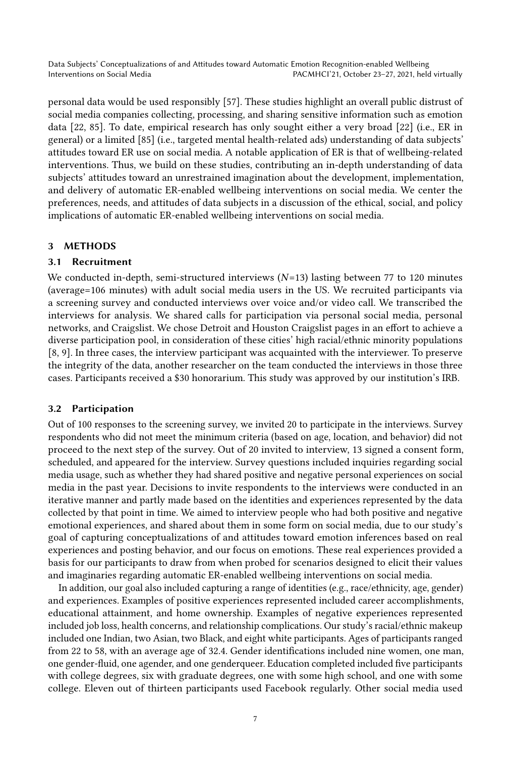personal data would be used responsibly [\[57\]](#page-28-14). These studies highlight an overall public distrust of social media companies collecting, processing, and sharing sensitive information such as emotion data [\[22,](#page-26-0) [85\]](#page-29-6). To date, empirical research has only sought either a very broad [\[22\]](#page-26-0) (i.e., ER in general) or a limited [\[85\]](#page-29-6) (i.e., targeted mental health-related ads) understanding of data subjects' attitudes toward ER use on social media. A notable application of ER is that of wellbeing-related interventions. Thus, we build on these studies, contributing an in-depth understanding of data subjects' attitudes toward an unrestrained imagination about the development, implementation, and delivery of automatic ER-enabled wellbeing interventions on social media. We center the preferences, needs, and attitudes of data subjects in a discussion of the ethical, social, and policy implications of automatic ER-enabled wellbeing interventions on social media.

### 3 METHODS

### 3.1 Recruitment

We conducted in-depth, semi-structured interviews  $(N=13)$  lasting between 77 to 120 minutes (average=106 minutes) with adult social media users in the US. We recruited participants via a screening survey and conducted interviews over voice and/or video call. We transcribed the interviews for analysis. We shared calls for participation via personal social media, personal networks, and Craigslist. We chose Detroit and Houston Craigslist pages in an effort to achieve a diverse participation pool, in consideration of these cities' high racial/ethnic minority populations [\[8,](#page-25-4) [9\]](#page-25-5). In three cases, the interview participant was acquainted with the interviewer. To preserve the integrity of the data, another researcher on the team conducted the interviews in those three cases. Participants received a \$30 honorarium. This study was approved by our institution's IRB.

### 3.2 Participation

Out of 100 responses to the screening survey, we invited 20 to participate in the interviews. Survey respondents who did not meet the minimum criteria (based on age, location, and behavior) did not proceed to the next step of the survey. Out of 20 invited to interview, 13 signed a consent form, scheduled, and appeared for the interview. Survey questions included inquiries regarding social media usage, such as whether they had shared positive and negative personal experiences on social media in the past year. Decisions to invite respondents to the interviews were conducted in an iterative manner and partly made based on the identities and experiences represented by the data collected by that point in time. We aimed to interview people who had both positive and negative emotional experiences, and shared about them in some form on social media, due to our study's goal of capturing conceptualizations of and attitudes toward emotion inferences based on real experiences and posting behavior, and our focus on emotions. These real experiences provided a basis for our participants to draw from when probed for scenarios designed to elicit their values and imaginaries regarding automatic ER-enabled wellbeing interventions on social media.

In addition, our goal also included capturing a range of identities (e.g., race/ethnicity, age, gender) and experiences. Examples of positive experiences represented included career accomplishments, educational attainment, and home ownership. Examples of negative experiences represented included job loss, health concerns, and relationship complications. Our study's racial/ethnic makeup included one Indian, two Asian, two Black, and eight white participants. Ages of participants ranged from 22 to 58, with an average age of 32.4. Gender identifications included nine women, one man, one gender-fluid, one agender, and one genderqueer. Education completed included five participants with college degrees, six with graduate degrees, one with some high school, and one with some college. Eleven out of thirteen participants used Facebook regularly. Other social media used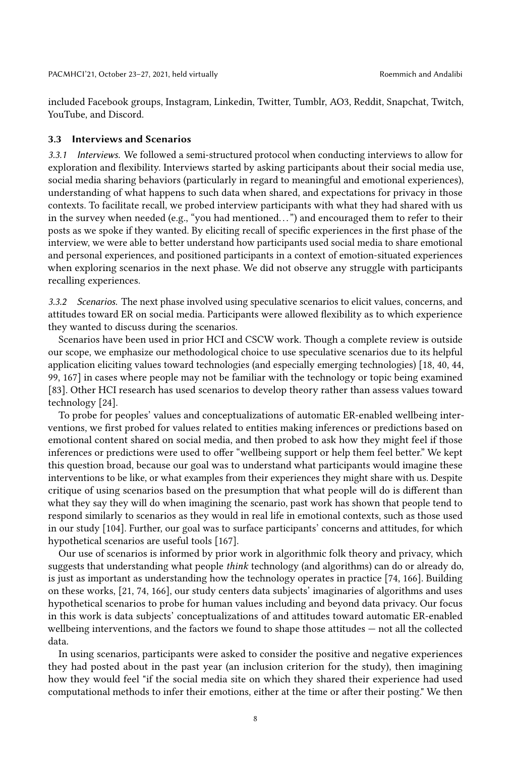included Facebook groups, Instagram, Linkedin, Twitter, Tumblr, AO3, Reddit, Snapchat, Twitch, YouTube, and Discord.

### 3.3 Interviews and Scenarios

3.3.1 Interviews. We followed a semi-structured protocol when conducting interviews to allow for exploration and flexibility. Interviews started by asking participants about their social media use, social media sharing behaviors (particularly in regard to meaningful and emotional experiences), understanding of what happens to such data when shared, and expectations for privacy in those contexts. To facilitate recall, we probed interview participants with what they had shared with us in the survey when needed (e.g., "you had mentioned. . . ") and encouraged them to refer to their posts as we spoke if they wanted. By eliciting recall of specific experiences in the first phase of the interview, we were able to better understand how participants used social media to share emotional and personal experiences, and positioned participants in a context of emotion-situated experiences when exploring scenarios in the next phase. We did not observe any struggle with participants recalling experiences.

3.3.2 Scenarios. The next phase involved using speculative scenarios to elicit values, concerns, and attitudes toward ER on social media. Participants were allowed flexibility as to which experience they wanted to discuss during the scenarios.

Scenarios have been used in prior HCI and CSCW work. Though a complete review is outside our scope, we emphasize our methodological choice to use speculative scenarios due to its helpful application eliciting values toward technologies (and especially emerging technologies) [\[18,](#page-26-10) [40,](#page-27-13) [44,](#page-27-14) [99,](#page-30-9) [167\]](#page-33-4) in cases where people may not be familiar with the technology or topic being examined [\[83\]](#page-29-9). Other HCI research has used scenarios to develop theory rather than assess values toward technology [\[24\]](#page-26-11).

To probe for peoples' values and conceptualizations of automatic ER-enabled wellbeing interventions, we first probed for values related to entities making inferences or predictions based on emotional content shared on social media, and then probed to ask how they might feel if those inferences or predictions were used to offer "wellbeing support or help them feel better." We kept this question broad, because our goal was to understand what participants would imagine these interventions to be like, or what examples from their experiences they might share with us. Despite critique of using scenarios based on the presumption that what people will do is different than what they say they will do when imagining the scenario, past work has shown that people tend to respond similarly to scenarios as they would in real life in emotional contexts, such as those used in our study [\[104\]](#page-30-10). Further, our goal was to surface participants' concerns and attitudes, for which hypothetical scenarios are useful tools [\[167\]](#page-33-4).

Our use of scenarios is informed by prior work in algorithmic folk theory and privacy, which suggests that understanding what people think technology (and algorithms) can do or already do, is just as important as understanding how the technology operates in practice [\[74,](#page-28-15) [166\]](#page-33-5). Building on these works, [\[21,](#page-26-12) [74,](#page-28-15) [166\]](#page-33-5), our study centers data subjects' imaginaries of algorithms and uses hypothetical scenarios to probe for human values including and beyond data privacy. Our focus in this work is data subjects' conceptualizations of and attitudes toward automatic ER-enabled wellbeing interventions, and the factors we found to shape those attitudes — not all the collected data.

In using scenarios, participants were asked to consider the positive and negative experiences they had posted about in the past year (an inclusion criterion for the study), then imagining how they would feel "if the social media site on which they shared their experience had used computational methods to infer their emotions, either at the time or after their posting." We then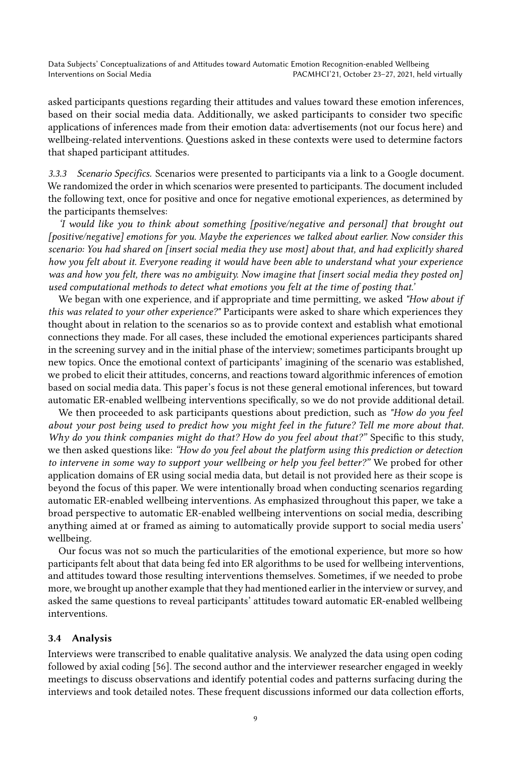asked participants questions regarding their attitudes and values toward these emotion inferences, based on their social media data. Additionally, we asked participants to consider two specific applications of inferences made from their emotion data: advertisements (not our focus here) and wellbeing-related interventions. Questions asked in these contexts were used to determine factors that shaped participant attitudes.

3.3.3 Scenario Specifics. Scenarios were presented to participants via a link to a Google document. We randomized the order in which scenarios were presented to participants. The document included the following text, once for positive and once for negative emotional experiences, as determined by the participants themselves:

'I would like you to think about something [positive/negative and personal] that brought out [positive/negative] emotions for you. Maybe the experiences we talked about earlier. Now consider this scenario: You had shared on [insert social media they use most] about that, and had explicitly shared how you felt about it. Everyone reading it would have been able to understand what your experience was and how you felt, there was no ambiguity. Now imagine that [insert social media they posted on] used computational methods to detect what emotions you felt at the time of posting that.'

We began with one experience, and if appropriate and time permitting, we asked "How about if this was related to your other experience?" Participants were asked to share which experiences they thought about in relation to the scenarios so as to provide context and establish what emotional connections they made. For all cases, these included the emotional experiences participants shared in the screening survey and in the initial phase of the interview; sometimes participants brought up new topics. Once the emotional context of participants' imagining of the scenario was established, we probed to elicit their attitudes, concerns, and reactions toward algorithmic inferences of emotion based on social media data. This paper's focus is not these general emotional inferences, but toward automatic ER-enabled wellbeing interventions specifically, so we do not provide additional detail.

We then proceeded to ask participants questions about prediction, such as "How do you feel about your post being used to predict how you might feel in the future? Tell me more about that. Why do you think companies might do that? How do you feel about that?" Specific to this study, we then asked questions like: "How do you feel about the platform using this prediction or detection to intervene in some way to support your wellbeing or help you feel better?" We probed for other application domains of ER using social media data, but detail is not provided here as their scope is beyond the focus of this paper. We were intentionally broad when conducting scenarios regarding automatic ER-enabled wellbeing interventions. As emphasized throughout this paper, we take a broad perspective to automatic ER-enabled wellbeing interventions on social media, describing anything aimed at or framed as aiming to automatically provide support to social media users' wellbeing.

Our focus was not so much the particularities of the emotional experience, but more so how participants felt about that data being fed into ER algorithms to be used for wellbeing interventions, and attitudes toward those resulting interventions themselves. Sometimes, if we needed to probe more, we brought up another example that they had mentioned earlier in the interview or survey, and asked the same questions to reveal participants' attitudes toward automatic ER-enabled wellbeing interventions.

### 3.4 Analysis

Interviews were transcribed to enable qualitative analysis. We analyzed the data using open coding followed by axial coding [\[56\]](#page-27-15). The second author and the interviewer researcher engaged in weekly meetings to discuss observations and identify potential codes and patterns surfacing during the interviews and took detailed notes. These frequent discussions informed our data collection efforts,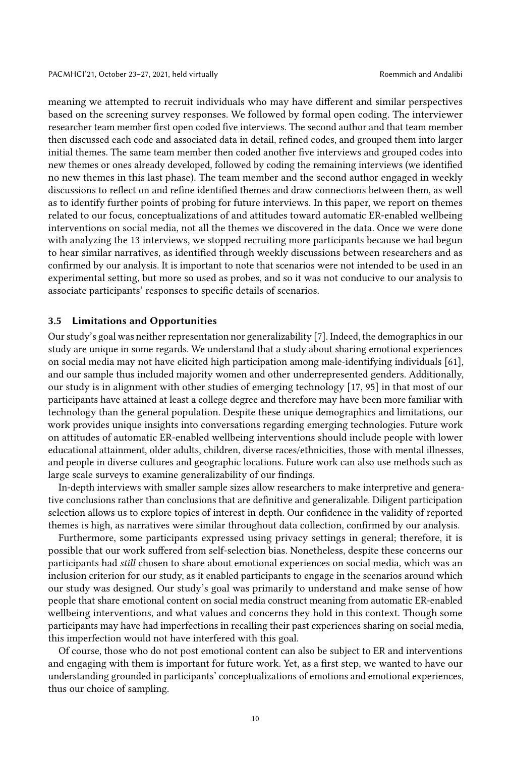meaning we attempted to recruit individuals who may have different and similar perspectives based on the screening survey responses. We followed by formal open coding. The interviewer researcher team member first open coded five interviews. The second author and that team member then discussed each code and associated data in detail, refined codes, and grouped them into larger initial themes. The same team member then coded another five interviews and grouped codes into new themes or ones already developed, followed by coding the remaining interviews (we identified no new themes in this last phase). The team member and the second author engaged in weekly discussions to reflect on and refine identified themes and draw connections between them, as well as to identify further points of probing for future interviews. In this paper, we report on themes related to our focus, conceptualizations of and attitudes toward automatic ER-enabled wellbeing interventions on social media, not all the themes we discovered in the data. Once we were done with analyzing the 13 interviews, we stopped recruiting more participants because we had begun to hear similar narratives, as identified through weekly discussions between researchers and as confirmed by our analysis. It is important to note that scenarios were not intended to be used in an experimental setting, but more so used as probes, and so it was not conducive to our analysis to associate participants' responses to specific details of scenarios.

### 3.5 Limitations and Opportunities

Our study's goal was neither representation nor generalizability [\[7\]](#page-25-6). Indeed, the demographics in our study are unique in some regards. We understand that a study about sharing emotional experiences on social media may not have elicited high participation among male-identifying individuals [\[61\]](#page-28-16), and our sample thus included majority women and other underrepresented genders. Additionally, our study is in alignment with other studies of emerging technology [\[17,](#page-25-7) [95\]](#page-29-10) in that most of our participants have attained at least a college degree and therefore may have been more familiar with technology than the general population. Despite these unique demographics and limitations, our work provides unique insights into conversations regarding emerging technologies. Future work on attitudes of automatic ER-enabled wellbeing interventions should include people with lower educational attainment, older adults, children, diverse races/ethnicities, those with mental illnesses, and people in diverse cultures and geographic locations. Future work can also use methods such as large scale surveys to examine generalizability of our findings.

In-depth interviews with smaller sample sizes allow researchers to make interpretive and generative conclusions rather than conclusions that are definitive and generalizable. Diligent participation selection allows us to explore topics of interest in depth. Our confidence in the validity of reported themes is high, as narratives were similar throughout data collection, confirmed by our analysis.

Furthermore, some participants expressed using privacy settings in general; therefore, it is possible that our work suffered from self-selection bias. Nonetheless, despite these concerns our participants had still chosen to share about emotional experiences on social media, which was an inclusion criterion for our study, as it enabled participants to engage in the scenarios around which our study was designed. Our study's goal was primarily to understand and make sense of how people that share emotional content on social media construct meaning from automatic ER-enabled wellbeing interventions, and what values and concerns they hold in this context. Though some participants may have had imperfections in recalling their past experiences sharing on social media, this imperfection would not have interfered with this goal.

Of course, those who do not post emotional content can also be subject to ER and interventions and engaging with them is important for future work. Yet, as a first step, we wanted to have our understanding grounded in participants' conceptualizations of emotions and emotional experiences, thus our choice of sampling.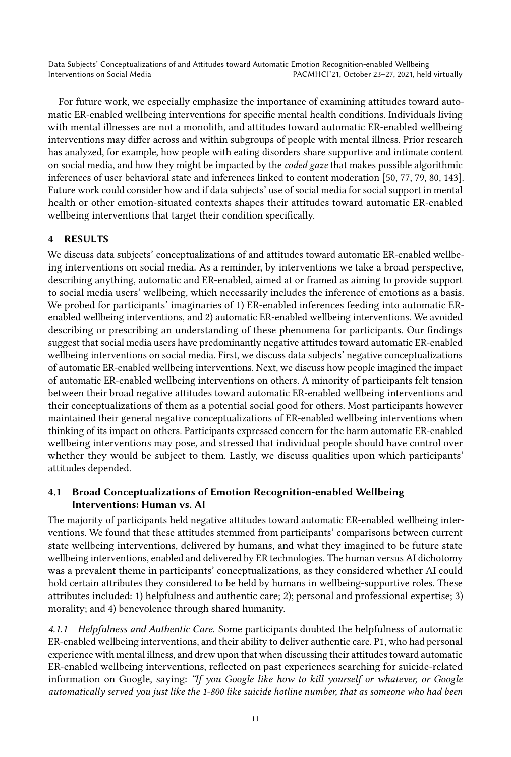For future work, we especially emphasize the importance of examining attitudes toward automatic ER-enabled wellbeing interventions for specific mental health conditions. Individuals living with mental illnesses are not a monolith, and attitudes toward automatic ER-enabled wellbeing interventions may differ across and within subgroups of people with mental illness. Prior research has analyzed, for example, how people with eating disorders share supportive and intimate content on social media, and how they might be impacted by the coded gaze that makes possible algorithmic inferences of user behavioral state and inferences linked to content moderation [\[50,](#page-27-16) [77,](#page-29-11) [79,](#page-29-12) [80,](#page-29-13) [143\]](#page-32-17). Future work could consider how and if data subjects' use of social media for social support in mental health or other emotion-situated contexts shapes their attitudes toward automatic ER-enabled wellbeing interventions that target their condition specifically.

# 4 RESULTS

We discuss data subjects' conceptualizations of and attitudes toward automatic ER-enabled wellbeing interventions on social media. As a reminder, by interventions we take a broad perspective, describing anything, automatic and ER-enabled, aimed at or framed as aiming to provide support to social media users' wellbeing, which necessarily includes the inference of emotions as a basis. We probed for participants' imaginaries of 1) ER-enabled inferences feeding into automatic ERenabled wellbeing interventions, and 2) automatic ER-enabled wellbeing interventions. We avoided describing or prescribing an understanding of these phenomena for participants. Our findings suggest that social media users have predominantly negative attitudes toward automatic ER-enabled wellbeing interventions on social media. First, we discuss data subjects' negative conceptualizations of automatic ER-enabled wellbeing interventions. Next, we discuss how people imagined the impact of automatic ER-enabled wellbeing interventions on others. A minority of participants felt tension between their broad negative attitudes toward automatic ER-enabled wellbeing interventions and their conceptualizations of them as a potential social good for others. Most participants however maintained their general negative conceptualizations of ER-enabled wellbeing interventions when thinking of its impact on others. Participants expressed concern for the harm automatic ER-enabled wellbeing interventions may pose, and stressed that individual people should have control over whether they would be subject to them. Lastly, we discuss qualities upon which participants' attitudes depended.

# 4.1 Broad Conceptualizations of Emotion Recognition-enabled Wellbeing Interventions: Human vs. AI

The majority of participants held negative attitudes toward automatic ER-enabled wellbeing interventions. We found that these attitudes stemmed from participants' comparisons between current state wellbeing interventions, delivered by humans, and what they imagined to be future state wellbeing interventions, enabled and delivered by ER technologies. The human versus AI dichotomy was a prevalent theme in participants' conceptualizations, as they considered whether AI could hold certain attributes they considered to be held by humans in wellbeing-supportive roles. These attributes included: 1) helpfulness and authentic care; 2); personal and professional expertise; 3) morality; and 4) benevolence through shared humanity.

4.1.1 Helpfulness and Authentic Care. Some participants doubted the helpfulness of automatic ER-enabled wellbeing interventions, and their ability to deliver authentic care. P1, who had personal experience with mental illness, and drew upon that when discussing their attitudes toward automatic ER-enabled wellbeing interventions, reflected on past experiences searching for suicide-related information on Google, saying: "If you Google like how to kill yourself or whatever, or Google automatically served you just like the 1-800 like suicide hotline number, that as someone who had been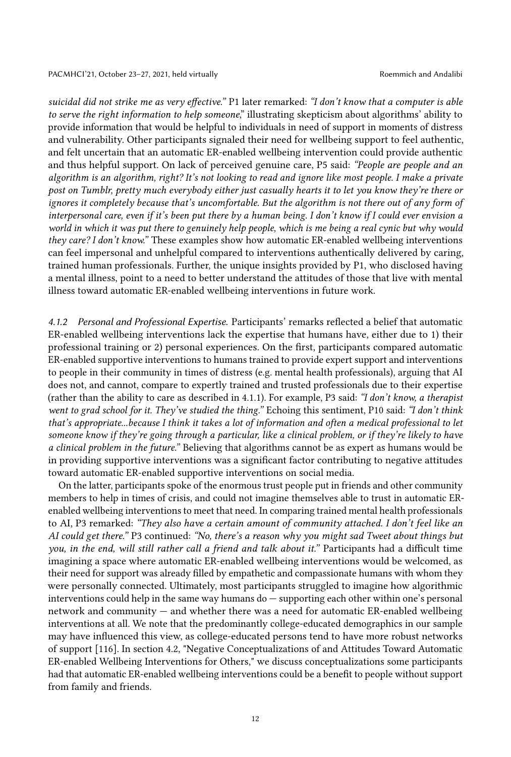suicidal did not strike me as very effective." P1 later remarked: "I don't know that a computer is able to serve the right information to help someone," illustrating skepticism about algorithms' ability to provide information that would be helpful to individuals in need of support in moments of distress and vulnerability. Other participants signaled their need for wellbeing support to feel authentic, and felt uncertain that an automatic ER-enabled wellbeing intervention could provide authentic and thus helpful support. On lack of perceived genuine care, P5 said: "People are people and an algorithm is an algorithm, right? It's not looking to read and ignore like most people. I make a private post on Tumblr, pretty much everybody either just casually hearts it to let you know they're there or ignores it completely because that's uncomfortable. But the algorithm is not there out of any form of interpersonal care, even if it's been put there by a human being. I don't know if I could ever envision a world in which it was put there to genuinely help people, which is me being a real cynic but why would they care? I don't know." These examples show how automatic ER-enabled wellbeing interventions can feel impersonal and unhelpful compared to interventions authentically delivered by caring, trained human professionals. Further, the unique insights provided by P1, who disclosed having a mental illness, point to a need to better understand the attitudes of those that live with mental illness toward automatic ER-enabled wellbeing interventions in future work.

4.1.2 Personal and Professional Expertise. Participants' remarks reflected a belief that automatic ER-enabled wellbeing interventions lack the expertise that humans have, either due to 1) their professional training or 2) personal experiences. On the first, participants compared automatic ER-enabled supportive interventions to humans trained to provide expert support and interventions to people in their community in times of distress (e.g. mental health professionals), arguing that AI does not, and cannot, compare to expertly trained and trusted professionals due to their expertise (rather than the ability to care as described in 4.1.1). For example, P3 said: "I don't know, a therapist went to grad school for it. They've studied the thing." Echoing this sentiment, P10 said: "I don't think that's appropriate...because I think it takes a lot of information and often a medical professional to let someone know if they're going through a particular, like a clinical problem, or if they're likely to have a clinical problem in the future." Believing that algorithms cannot be as expert as humans would be in providing supportive interventions was a significant factor contributing to negative attitudes toward automatic ER-enabled supportive interventions on social media.

On the latter, participants spoke of the enormous trust people put in friends and other community members to help in times of crisis, and could not imagine themselves able to trust in automatic ERenabled wellbeing interventions to meet that need. In comparing trained mental health professionals to AI, P3 remarked: "They also have a certain amount of community attached. I don't feel like an AI could get there." P3 continued: "No, there's a reason why you might sad Tweet about things but you, in the end, will still rather call a friend and talk about it." Participants had a difficult time imagining a space where automatic ER-enabled wellbeing interventions would be welcomed, as their need for support was already filled by empathetic and compassionate humans with whom they were personally connected. Ultimately, most participants struggled to imagine how algorithmic interventions could help in the same way humans do — supporting each other within one's personal network and community — and whether there was a need for automatic ER-enabled wellbeing interventions at all. We note that the predominantly college-educated demographics in our sample may have influenced this view, as college-educated persons tend to have more robust networks of support [\[116\]](#page-30-11). In section 4.2, "Negative Conceptualizations of and Attitudes Toward Automatic ER-enabled Wellbeing Interventions for Others," we discuss conceptualizations some participants had that automatic ER-enabled wellbeing interventions could be a benefit to people without support from family and friends.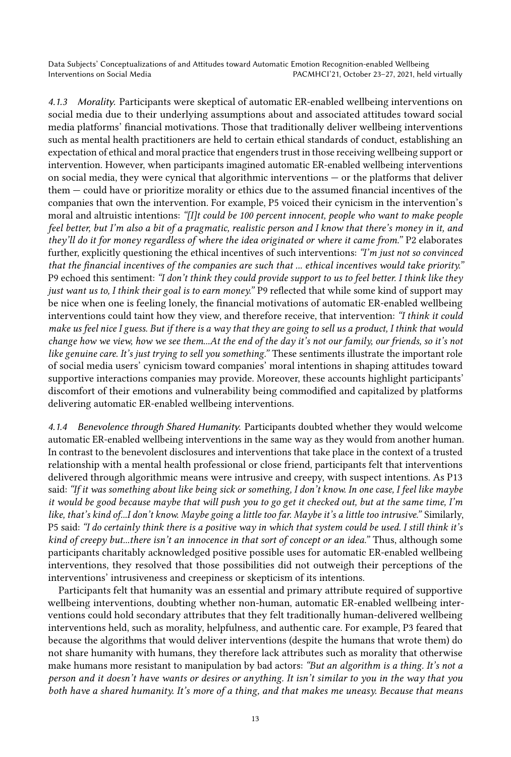4.1.3 Morality. Participants were skeptical of automatic ER-enabled wellbeing interventions on social media due to their underlying assumptions about and associated attitudes toward social media platforms' financial motivations. Those that traditionally deliver wellbeing interventions such as mental health practitioners are held to certain ethical standards of conduct, establishing an expectation of ethical and moral practice that engenders trust in those receiving wellbeing support or intervention. However, when participants imagined automatic ER-enabled wellbeing interventions on social media, they were cynical that algorithmic interventions — or the platforms that deliver them — could have or prioritize morality or ethics due to the assumed financial incentives of the companies that own the intervention. For example, P5 voiced their cynicism in the intervention's moral and altruistic intentions: "[I]t could be 100 percent innocent, people who want to make people feel better, but I'm also a bit of a pragmatic, realistic person and I know that there's money in it, and they'll do it for money regardless of where the idea originated or where it came from." P2 elaborates further, explicitly questioning the ethical incentives of such interventions: "I'm just not so convinced that the financial incentives of the companies are such that ... ethical incentives would take priority." P9 echoed this sentiment: "I don't think they could provide support to us to feel better. I think like they just want us to, I think their goal is to earn money." P9 reflected that while some kind of support may be nice when one is feeling lonely, the financial motivations of automatic ER-enabled wellbeing interventions could taint how they view, and therefore receive, that intervention: "I think it could make us feel nice I guess. But if there is a way that they are going to sell us a product, I think that would change how we view, how we see them...At the end of the day it's not our family, our friends, so it's not like genuine care. It's just trying to sell you something." These sentiments illustrate the important role of social media users' cynicism toward companies' moral intentions in shaping attitudes toward supportive interactions companies may provide. Moreover, these accounts highlight participants' discomfort of their emotions and vulnerability being commodified and capitalized by platforms delivering automatic ER-enabled wellbeing interventions.

4.1.4 Benevolence through Shared Humanity. Participants doubted whether they would welcome automatic ER-enabled wellbeing interventions in the same way as they would from another human. In contrast to the benevolent disclosures and interventions that take place in the context of a trusted relationship with a mental health professional or close friend, participants felt that interventions delivered through algorithmic means were intrusive and creepy, with suspect intentions. As P13 said: "If it was something about like being sick or something, I don't know. In one case, I feel like maybe it would be good because maybe that will push you to go get it checked out, but at the same time, I'm like, that's kind of...I don't know. Maybe going a little too far. Maybe it's a little too intrusive." Similarly, P5 said: "I do certainly think there is a positive way in which that system could be used. I still think it's kind of creepy but...there isn't an innocence in that sort of concept or an idea." Thus, although some participants charitably acknowledged positive possible uses for automatic ER-enabled wellbeing interventions, they resolved that those possibilities did not outweigh their perceptions of the interventions' intrusiveness and creepiness or skepticism of its intentions.

Participants felt that humanity was an essential and primary attribute required of supportive wellbeing interventions, doubting whether non-human, automatic ER-enabled wellbeing interventions could hold secondary attributes that they felt traditionally human-delivered wellbeing interventions held, such as morality, helpfulness, and authentic care. For example, P3 feared that because the algorithms that would deliver interventions (despite the humans that wrote them) do not share humanity with humans, they therefore lack attributes such as morality that otherwise make humans more resistant to manipulation by bad actors: "But an algorithm is a thing. It's not a person and it doesn't have wants or desires or anything. It isn't similar to you in the way that you both have a shared humanity. It's more of a thing, and that makes me uneasy. Because that means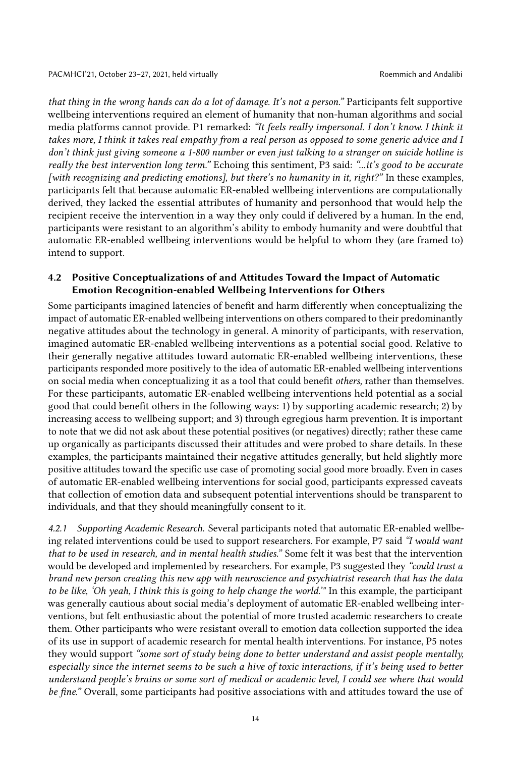that thing in the wrong hands can do a lot of damage. It's not a person." Participants felt supportive wellbeing interventions required an element of humanity that non-human algorithms and social media platforms cannot provide. P1 remarked: "It feels really impersonal. I don't know. I think it takes more, I think it takes real empathy from a real person as opposed to some generic advice and I don't think just giving someone a 1-800 number or even just talking to a stranger on suicide hotline is really the best intervention long term." Echoing this sentiment, P3 said: "...it's good to be accurate [with recognizing and predicting emotions], but there's no humanity in it, right?" In these examples, participants felt that because automatic ER-enabled wellbeing interventions are computationally derived, they lacked the essential attributes of humanity and personhood that would help the recipient receive the intervention in a way they only could if delivered by a human. In the end, participants were resistant to an algorithm's ability to embody humanity and were doubtful that automatic ER-enabled wellbeing interventions would be helpful to whom they (are framed to) intend to support.

### 4.2 Positive Conceptualizations of and Attitudes Toward the Impact of Automatic Emotion Recognition-enabled Wellbeing Interventions for Others

Some participants imagined latencies of benefit and harm differently when conceptualizing the impact of automatic ER-enabled wellbeing interventions on others compared to their predominantly negative attitudes about the technology in general. A minority of participants, with reservation, imagined automatic ER-enabled wellbeing interventions as a potential social good. Relative to their generally negative attitudes toward automatic ER-enabled wellbeing interventions, these participants responded more positively to the idea of automatic ER-enabled wellbeing interventions on social media when conceptualizing it as a tool that could benefit others, rather than themselves. For these participants, automatic ER-enabled wellbeing interventions held potential as a social good that could benefit others in the following ways: 1) by supporting academic research; 2) by increasing access to wellbeing support; and 3) through egregious harm prevention. It is important to note that we did not ask about these potential positives (or negatives) directly; rather these came up organically as participants discussed their attitudes and were probed to share details. In these examples, the participants maintained their negative attitudes generally, but held slightly more positive attitudes toward the specific use case of promoting social good more broadly. Even in cases of automatic ER-enabled wellbeing interventions for social good, participants expressed caveats that collection of emotion data and subsequent potential interventions should be transparent to individuals, and that they should meaningfully consent to it.

4.2.1 Supporting Academic Research. Several participants noted that automatic ER-enabled wellbeing related interventions could be used to support researchers. For example, P7 said "I would want that to be used in research, and in mental health studies." Some felt it was best that the intervention would be developed and implemented by researchers. For example, P3 suggested they "could trust a brand new person creating this new app with neuroscience and psychiatrist research that has the data to be like, 'Oh yeah, I think this is going to help change the world.'" In this example, the participant was generally cautious about social media's deployment of automatic ER-enabled wellbeing interventions, but felt enthusiastic about the potential of more trusted academic researchers to create them. Other participants who were resistant overall to emotion data collection supported the idea of its use in support of academic research for mental health interventions. For instance, P5 notes they would support "some sort of study being done to better understand and assist people mentally, especially since the internet seems to be such a hive of toxic interactions, if it's being used to better understand people's brains or some sort of medical or academic level, I could see where that would be fine." Overall, some participants had positive associations with and attitudes toward the use of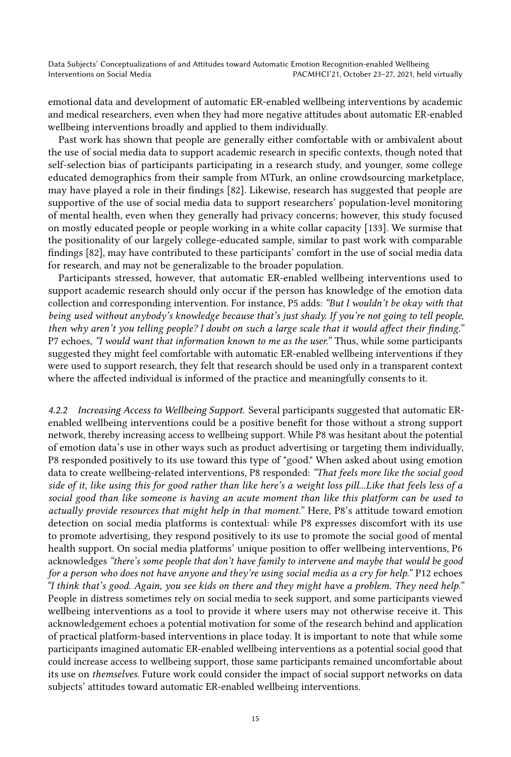emotional data and development of automatic ER-enabled wellbeing interventions by academic and medical researchers, even when they had more negative attitudes about automatic ER-enabled wellbeing interventions broadly and applied to them individually.

Past work has shown that people are generally either comfortable with or ambivalent about the use of social media data to support academic research in specific contexts, though noted that self-selection bias of participants participating in a research study, and younger, some college educated demographics from their sample from MTurk, an online crowdsourcing marketplace, may have played a role in their findings [\[82\]](#page-29-14). Likewise, research has suggested that people are supportive of the use of social media data to support researchers' population-level monitoring of mental health, even when they generally had privacy concerns; however, this study focused on mostly educated people or people working in a white collar capacity [\[133\]](#page-31-2). We surmise that the positionality of our largely college-educated sample, similar to past work with comparable findings [\[82\]](#page-29-14), may have contributed to these participants' comfort in the use of social media data for research, and may not be generalizable to the broader population.

Participants stressed, however, that automatic ER-enabled wellbeing interventions used to support academic research should only occur if the person has knowledge of the emotion data collection and corresponding intervention. For instance, P5 adds: "But I wouldn't be okay with that being used without anybody's knowledge because that's just shady. If you're not going to tell people, then why aren't you telling people? I doubt on such a large scale that it would affect their finding." P7 echoes, "I would want that information known to me as the user." Thus, while some participants suggested they might feel comfortable with automatic ER-enabled wellbeing interventions if they were used to support research, they felt that research should be used only in a transparent context where the affected individual is informed of the practice and meaningfully consents to it.

4.2.2 Increasing Access to Wellbeing Support. Several participants suggested that automatic ERenabled wellbeing interventions could be a positive benefit for those without a strong support network, thereby increasing access to wellbeing support. While P8 was hesitant about the potential of emotion data's use in other ways such as product advertising or targeting them individually, P8 responded positively to its use toward this type of "good." When asked about using emotion data to create wellbeing-related interventions, P8 responded: "That feels more like the social good side of it, like using this for good rather than like here's a weight loss pill...Like that feels less of a social good than like someone is having an acute moment than like this platform can be used to actually provide resources that might help in that moment." Here, P8's attitude toward emotion detection on social media platforms is contextual: while P8 expresses discomfort with its use to promote advertising, they respond positively to its use to promote the social good of mental health support. On social media platforms' unique position to offer wellbeing interventions, P6 acknowledges "there's some people that don't have family to intervene and maybe that would be good for a person who does not have anyone and they're using social media as a cry for help." P12 echoes "I think that's good. Again, you see kids on there and they might have a problem. They need help." People in distress sometimes rely on social media to seek support, and some participants viewed wellbeing interventions as a tool to provide it where users may not otherwise receive it. This acknowledgement echoes a potential motivation for some of the research behind and application of practical platform-based interventions in place today. It is important to note that while some participants imagined automatic ER-enabled wellbeing interventions as a potential social good that could increase access to wellbeing support, those same participants remained uncomfortable about its use on themselves. Future work could consider the impact of social support networks on data subjects' attitudes toward automatic ER-enabled wellbeing interventions.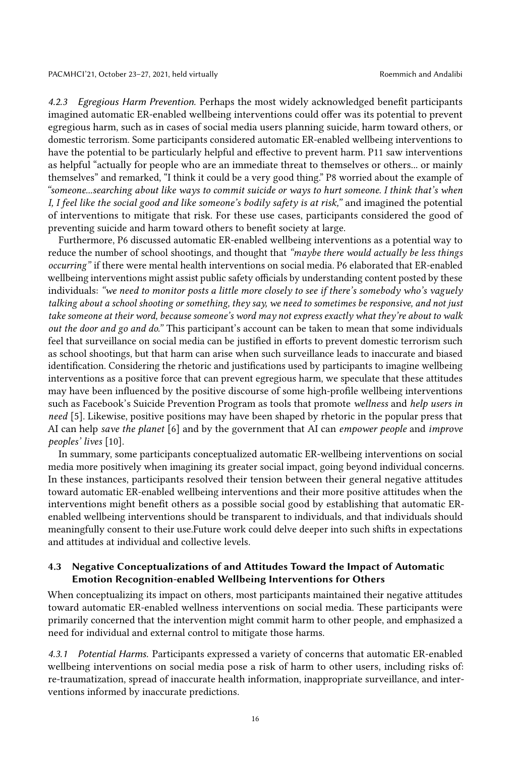4.2.3 Egregious Harm Prevention. Perhaps the most widely acknowledged benefit participants imagined automatic ER-enabled wellbeing interventions could offer was its potential to prevent egregious harm, such as in cases of social media users planning suicide, harm toward others, or domestic terrorism. Some participants considered automatic ER-enabled wellbeing interventions to have the potential to be particularly helpful and effective to prevent harm. P11 saw interventions as helpful "actually for people who are an immediate threat to themselves or others... or mainly themselves" and remarked, "I think it could be a very good thing." P8 worried about the example of "someone...searching about like ways to commit suicide or ways to hurt someone. I think that's when I, I feel like the social good and like someone's bodily safety is at risk," and imagined the potential of interventions to mitigate that risk. For these use cases, participants considered the good of preventing suicide and harm toward others to benefit society at large.

Furthermore, P6 discussed automatic ER-enabled wellbeing interventions as a potential way to reduce the number of school shootings, and thought that "maybe there would actually be less things occurring" if there were mental health interventions on social media. P6 elaborated that ER-enabled wellbeing interventions might assist public safety officials by understanding content posted by these individuals: "we need to monitor posts a little more closely to see if there's somebody who's vaguely talking about a school shooting or something, they say, we need to sometimes be responsive, and not just take someone at their word, because someone's word may not express exactly what they're about to walk out the door and go and do." This participant's account can be taken to mean that some individuals feel that surveillance on social media can be justified in efforts to prevent domestic terrorism such as school shootings, but that harm can arise when such surveillance leads to inaccurate and biased identification. Considering the rhetoric and justifications used by participants to imagine wellbeing interventions as a positive force that can prevent egregious harm, we speculate that these attitudes may have been influenced by the positive discourse of some high-profile wellbeing interventions such as Facebook's Suicide Prevention Program as tools that promote wellness and help users in need [\[5\]](#page-25-8). Likewise, positive positions may have been shaped by rhetoric in the popular press that AI can help save the planet [\[6\]](#page-25-9) and by the government that AI can empower people and improve peoples' lives [\[10\]](#page-25-10).

In summary, some participants conceptualized automatic ER-wellbeing interventions on social media more positively when imagining its greater social impact, going beyond individual concerns. In these instances, participants resolved their tension between their general negative attitudes toward automatic ER-enabled wellbeing interventions and their more positive attitudes when the interventions might benefit others as a possible social good by establishing that automatic ERenabled wellbeing interventions should be transparent to individuals, and that individuals should meaningfully consent to their use.Future work could delve deeper into such shifts in expectations and attitudes at individual and collective levels.

### 4.3 Negative Conceptualizations of and Attitudes Toward the Impact of Automatic Emotion Recognition-enabled Wellbeing Interventions for Others

When conceptualizing its impact on others, most participants maintained their negative attitudes toward automatic ER-enabled wellness interventions on social media. These participants were primarily concerned that the intervention might commit harm to other people, and emphasized a need for individual and external control to mitigate those harms.

4.3.1 Potential Harms. Participants expressed a variety of concerns that automatic ER-enabled wellbeing interventions on social media pose a risk of harm to other users, including risks of: re-traumatization, spread of inaccurate health information, inappropriate surveillance, and interventions informed by inaccurate predictions.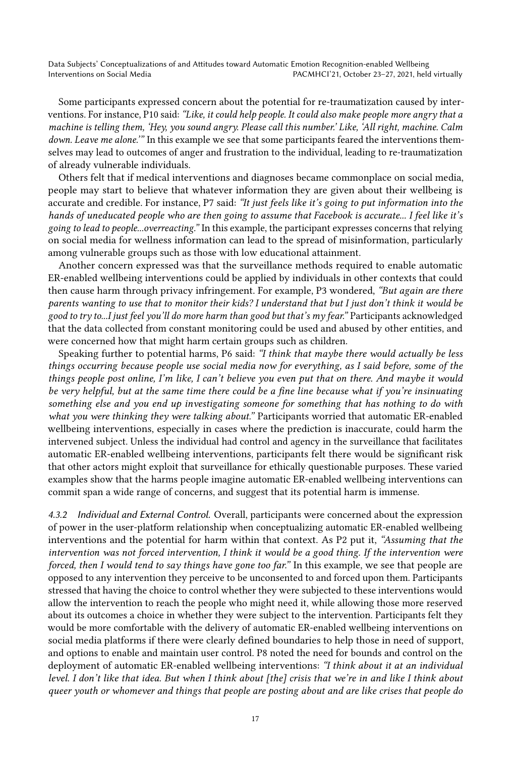Some participants expressed concern about the potential for re-traumatization caused by interventions. For instance, P10 said: "Like, it could help people. It could also make people more angry that a machine is telling them, 'Hey, you sound angry. Please call this number.' Like, 'All right, machine. Calm down. Leave me alone." In this example we see that some participants feared the interventions themselves may lead to outcomes of anger and frustration to the individual, leading to re-traumatization of already vulnerable individuals.

Others felt that if medical interventions and diagnoses became commonplace on social media, people may start to believe that whatever information they are given about their wellbeing is accurate and credible. For instance, P7 said: "It just feels like it's going to put information into the hands of uneducated people who are then going to assume that Facebook is accurate... I feel like it's going to lead to people...overreacting." In this example, the participant expresses concerns that relying on social media for wellness information can lead to the spread of misinformation, particularly among vulnerable groups such as those with low educational attainment.

Another concern expressed was that the surveillance methods required to enable automatic ER-enabled wellbeing interventions could be applied by individuals in other contexts that could then cause harm through privacy infringement. For example, P3 wondered, "But again are there parents wanting to use that to monitor their kids? I understand that but I just don't think it would be good to try to...I just feel you'll do more harm than good but that's my fear." Participants acknowledged that the data collected from constant monitoring could be used and abused by other entities, and were concerned how that might harm certain groups such as children.

Speaking further to potential harms, P6 said: "I think that maybe there would actually be less things occurring because people use social media now for everything, as I said before, some of the things people post online, I'm like, I can't believe you even put that on there. And maybe it would be very helpful, but at the same time there could be a fine line because what if you're insinuating something else and you end up investigating someone for something that has nothing to do with what you were thinking they were talking about." Participants worried that automatic ER-enabled wellbeing interventions, especially in cases where the prediction is inaccurate, could harm the intervened subject. Unless the individual had control and agency in the surveillance that facilitates automatic ER-enabled wellbeing interventions, participants felt there would be significant risk that other actors might exploit that surveillance for ethically questionable purposes. These varied examples show that the harms people imagine automatic ER-enabled wellbeing interventions can commit span a wide range of concerns, and suggest that its potential harm is immense.

4.3.2 Individual and External Control. Overall, participants were concerned about the expression of power in the user-platform relationship when conceptualizing automatic ER-enabled wellbeing interventions and the potential for harm within that context. As P2 put it, "Assuming that the intervention was not forced intervention, I think it would be a good thing. If the intervention were forced, then I would tend to say things have gone too far." In this example, we see that people are opposed to any intervention they perceive to be unconsented to and forced upon them. Participants stressed that having the choice to control whether they were subjected to these interventions would allow the intervention to reach the people who might need it, while allowing those more reserved about its outcomes a choice in whether they were subject to the intervention. Participants felt they would be more comfortable with the delivery of automatic ER-enabled wellbeing interventions on social media platforms if there were clearly defined boundaries to help those in need of support, and options to enable and maintain user control. P8 noted the need for bounds and control on the deployment of automatic ER-enabled wellbeing interventions: "I think about it at an individual level. I don't like that idea. But when I think about [the] crisis that we're in and like I think about queer youth or whomever and things that people are posting about and are like crises that people do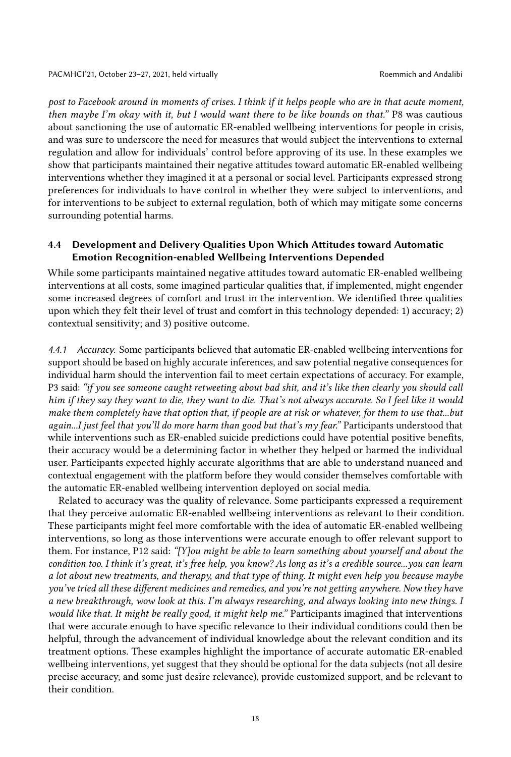post to Facebook around in moments of crises. I think if it helps people who are in that acute moment, then maybe I'm okay with it, but I would want there to be like bounds on that." P8 was cautious about sanctioning the use of automatic ER-enabled wellbeing interventions for people in crisis, and was sure to underscore the need for measures that would subject the interventions to external regulation and allow for individuals' control before approving of its use. In these examples we show that participants maintained their negative attitudes toward automatic ER-enabled wellbeing interventions whether they imagined it at a personal or social level. Participants expressed strong preferences for individuals to have control in whether they were subject to interventions, and for interventions to be subject to external regulation, both of which may mitigate some concerns surrounding potential harms.

### 4.4 Development and Delivery Qualities Upon Which Attitudes toward Automatic Emotion Recognition-enabled Wellbeing Interventions Depended

While some participants maintained negative attitudes toward automatic ER-enabled wellbeing interventions at all costs, some imagined particular qualities that, if implemented, might engender some increased degrees of comfort and trust in the intervention. We identified three qualities upon which they felt their level of trust and comfort in this technology depended: 1) accuracy; 2) contextual sensitivity; and 3) positive outcome.

4.4.1 Accuracy. Some participants believed that automatic ER-enabled wellbeing interventions for support should be based on highly accurate inferences, and saw potential negative consequences for individual harm should the intervention fail to meet certain expectations of accuracy. For example, P3 said: "if you see someone caught retweeting about bad shit, and it's like then clearly you should call him if they say they want to die, they want to die. That's not always accurate. So I feel like it would make them completely have that option that, if people are at risk or whatever, for them to use that...but again...I just feel that you'll do more harm than good but that's my fear." Participants understood that while interventions such as ER-enabled suicide predictions could have potential positive benefits, their accuracy would be a determining factor in whether they helped or harmed the individual user. Participants expected highly accurate algorithms that are able to understand nuanced and contextual engagement with the platform before they would consider themselves comfortable with the automatic ER-enabled wellbeing intervention deployed on social media.

Related to accuracy was the quality of relevance. Some participants expressed a requirement that they perceive automatic ER-enabled wellbeing interventions as relevant to their condition. These participants might feel more comfortable with the idea of automatic ER-enabled wellbeing interventions, so long as those interventions were accurate enough to offer relevant support to them. For instance, P12 said: "[Y]ou might be able to learn something about yourself and about the condition too. I think it's great, it's free help, you know? As long as it's a credible source...you can learn a lot about new treatments, and therapy, and that type of thing. It might even help you because maybe you've tried all these different medicines and remedies, and you're not getting anywhere. Now they have a new breakthrough, wow look at this. I'm always researching, and always looking into new things. I would like that. It might be really good, it might help me." Participants imagined that interventions that were accurate enough to have specific relevance to their individual conditions could then be helpful, through the advancement of individual knowledge about the relevant condition and its treatment options. These examples highlight the importance of accurate automatic ER-enabled wellbeing interventions, yet suggest that they should be optional for the data subjects (not all desire precise accuracy, and some just desire relevance), provide customized support, and be relevant to their condition.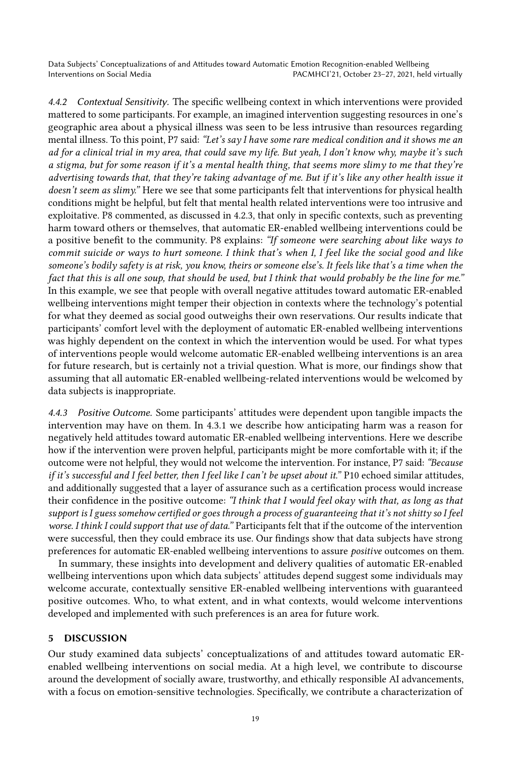4.4.2 Contextual Sensitivity. The specific wellbeing context in which interventions were provided mattered to some participants. For example, an imagined intervention suggesting resources in one's geographic area about a physical illness was seen to be less intrusive than resources regarding mental illness. To this point, P7 said: "Let's say I have some rare medical condition and it shows me an ad for a clinical trial in my area, that could save my life. But yeah, I don't know why, maybe it's such a stigma, but for some reason if it's a mental health thing, that seems more slimy to me that they're advertising towards that, that they're taking advantage of me. But if it's like any other health issue it doesn't seem as slimy." Here we see that some participants felt that interventions for physical health conditions might be helpful, but felt that mental health related interventions were too intrusive and exploitative. P8 commented, as discussed in 4.2.3, that only in specific contexts, such as preventing harm toward others or themselves, that automatic ER-enabled wellbeing interventions could be a positive benefit to the community. P8 explains: "If someone were searching about like ways to commit suicide or ways to hurt someone. I think that's when I, I feel like the social good and like someone's bodily safety is at risk, you know, theirs or someone else's. It feels like that's a time when the fact that this is all one soup, that should be used, but I think that would probably be the line for me." In this example, we see that people with overall negative attitudes toward automatic ER-enabled wellbeing interventions might temper their objection in contexts where the technology's potential for what they deemed as social good outweighs their own reservations. Our results indicate that participants' comfort level with the deployment of automatic ER-enabled wellbeing interventions was highly dependent on the context in which the intervention would be used. For what types of interventions people would welcome automatic ER-enabled wellbeing interventions is an area for future research, but is certainly not a trivial question. What is more, our findings show that assuming that all automatic ER-enabled wellbeing-related interventions would be welcomed by data subjects is inappropriate.

4.4.3 Positive Outcome. Some participants' attitudes were dependent upon tangible impacts the intervention may have on them. In 4.3.1 we describe how anticipating harm was a reason for negatively held attitudes toward automatic ER-enabled wellbeing interventions. Here we describe how if the intervention were proven helpful, participants might be more comfortable with it; if the outcome were not helpful, they would not welcome the intervention. For instance, P7 said: "Because if it's successful and I feel better, then I feel like I can't be upset about it." P10 echoed similar attitudes, and additionally suggested that a layer of assurance such as a certification process would increase their confidence in the positive outcome: "I think that I would feel okay with that, as long as that support is I guess somehow certified or goes through a process of guaranteeing that it's not shitty so I feel worse. I think I could support that use of data." Participants felt that if the outcome of the intervention were successful, then they could embrace its use. Our findings show that data subjects have strong preferences for automatic ER-enabled wellbeing interventions to assure positive outcomes on them.

In summary, these insights into development and delivery qualities of automatic ER-enabled wellbeing interventions upon which data subjects' attitudes depend suggest some individuals may welcome accurate, contextually sensitive ER-enabled wellbeing interventions with guaranteed positive outcomes. Who, to what extent, and in what contexts, would welcome interventions developed and implemented with such preferences is an area for future work.

### 5 DISCUSSION

Our study examined data subjects' conceptualizations of and attitudes toward automatic ERenabled wellbeing interventions on social media. At a high level, we contribute to discourse around the development of socially aware, trustworthy, and ethically responsible AI advancements, with a focus on emotion-sensitive technologies. Specifically, we contribute a characterization of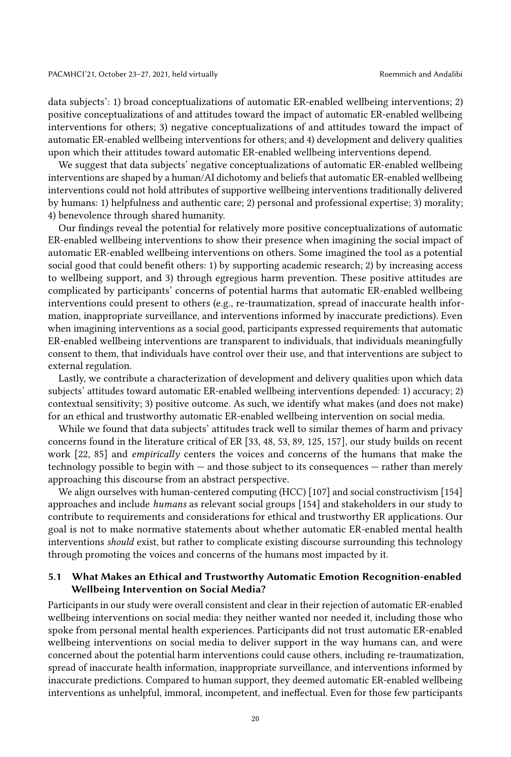data subjects': 1) broad conceptualizations of automatic ER-enabled wellbeing interventions; 2) positive conceptualizations of and attitudes toward the impact of automatic ER-enabled wellbeing interventions for others; 3) negative conceptualizations of and attitudes toward the impact of automatic ER-enabled wellbeing interventions for others; and 4) development and delivery qualities upon which their attitudes toward automatic ER-enabled wellbeing interventions depend.

We suggest that data subjects' negative conceptualizations of automatic ER-enabled wellbeing interventions are shaped by a human/AI dichotomy and beliefs that automatic ER-enabled wellbeing interventions could not hold attributes of supportive wellbeing interventions traditionally delivered by humans: 1) helpfulness and authentic care; 2) personal and professional expertise; 3) morality; 4) benevolence through shared humanity.

Our findings reveal the potential for relatively more positive conceptualizations of automatic ER-enabled wellbeing interventions to show their presence when imagining the social impact of automatic ER-enabled wellbeing interventions on others. Some imagined the tool as a potential social good that could benefit others: 1) by supporting academic research; 2) by increasing access to wellbeing support, and 3) through egregious harm prevention. These positive attitudes are complicated by participants' concerns of potential harms that automatic ER-enabled wellbeing interventions could present to others (e.g., re-traumatization, spread of inaccurate health information, inappropriate surveillance, and interventions informed by inaccurate predictions). Even when imagining interventions as a social good, participants expressed requirements that automatic ER-enabled wellbeing interventions are transparent to individuals, that individuals meaningfully consent to them, that individuals have control over their use, and that interventions are subject to external regulation.

Lastly, we contribute a characterization of development and delivery qualities upon which data subjects' attitudes toward automatic ER-enabled wellbeing interventions depended: 1) accuracy; 2) contextual sensitivity; 3) positive outcome. As such, we identify what makes (and does not make) for an ethical and trustworthy automatic ER-enabled wellbeing intervention on social media.

While we found that data subjects' attitudes track well to similar themes of harm and privacy concerns found in the literature critical of ER [\[33,](#page-26-4) [48,](#page-27-4) [53,](#page-27-5) [89,](#page-29-1) [125,](#page-31-3) [157\]](#page-32-5), our study builds on recent work [\[22,](#page-26-0) [85\]](#page-29-6) and empirically centers the voices and concerns of the humans that make the technology possible to begin with — and those subject to its consequences — rather than merely approaching this discourse from an abstract perspective.

We align ourselves with human-centered computing (HCC) [\[107\]](#page-30-12) and social constructivism [\[154\]](#page-32-6) approaches and include humans as relevant social groups [\[154\]](#page-32-6) and stakeholders in our study to contribute to requirements and considerations for ethical and trustworthy ER applications. Our goal is not to make normative statements about whether automatic ER-enabled mental health interventions *should* exist, but rather to complicate existing discourse surrounding this technology through promoting the voices and concerns of the humans most impacted by it.

### 5.1 What Makes an Ethical and Trustworthy Automatic Emotion Recognition-enabled Wellbeing Intervention on Social Media?

Participants in our study were overall consistent and clear in their rejection of automatic ER-enabled wellbeing interventions on social media: they neither wanted nor needed it, including those who spoke from personal mental health experiences. Participants did not trust automatic ER-enabled wellbeing interventions on social media to deliver support in the way humans can, and were concerned about the potential harm interventions could cause others, including re-traumatization, spread of inaccurate health information, inappropriate surveillance, and interventions informed by inaccurate predictions. Compared to human support, they deemed automatic ER-enabled wellbeing interventions as unhelpful, immoral, incompetent, and ineffectual. Even for those few participants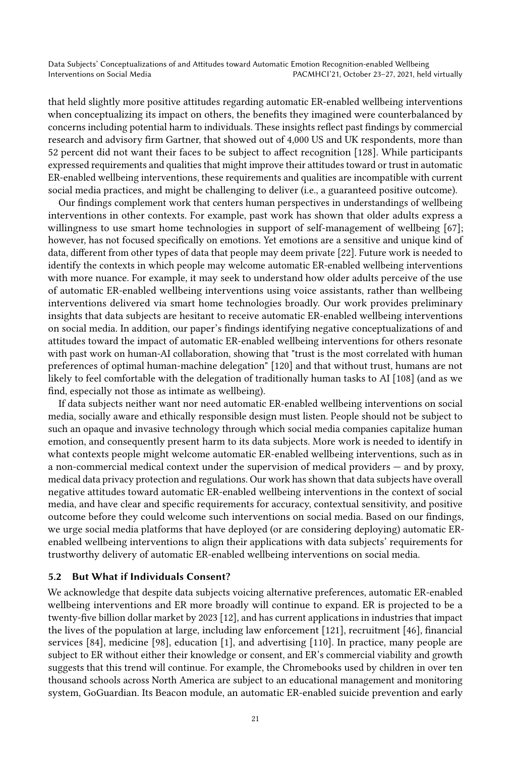that held slightly more positive attitudes regarding automatic ER-enabled wellbeing interventions when conceptualizing its impact on others, the benefits they imagined were counterbalanced by concerns including potential harm to individuals. These insights reflect past findings by commercial research and advisory firm Gartner, that showed out of 4,000 US and UK respondents, more than 52 percent did not want their faces to be subject to affect recognition [\[128\]](#page-31-13). While participants expressed requirements and qualities that might improve their attitudes toward or trust in automatic ER-enabled wellbeing interventions, these requirements and qualities are incompatible with current social media practices, and might be challenging to deliver (i.e., a guaranteed positive outcome).

Our findings complement work that centers human perspectives in understandings of wellbeing interventions in other contexts. For example, past work has shown that older adults express a willingness to use smart home technologies in support of self-management of wellbeing [\[67\]](#page-28-17); however, has not focused specifically on emotions. Yet emotions are a sensitive and unique kind of data, different from other types of data that people may deem private [\[22\]](#page-26-0). Future work is needed to identify the contexts in which people may welcome automatic ER-enabled wellbeing interventions with more nuance. For example, it may seek to understand how older adults perceive of the use of automatic ER-enabled wellbeing interventions using voice assistants, rather than wellbeing interventions delivered via smart home technologies broadly. Our work provides preliminary insights that data subjects are hesitant to receive automatic ER-enabled wellbeing interventions on social media. In addition, our paper's findings identifying negative conceptualizations of and attitudes toward the impact of automatic ER-enabled wellbeing interventions for others resonate with past work on human-AI collaboration, showing that "trust is the most correlated with human preferences of optimal human-machine delegation" [\[120\]](#page-31-14) and that without trust, humans are not likely to feel comfortable with the delegation of traditionally human tasks to AI [\[108\]](#page-30-13) (and as we find, especially not those as intimate as wellbeing).

If data subjects neither want nor need automatic ER-enabled wellbeing interventions on social media, socially aware and ethically responsible design must listen. People should not be subject to such an opaque and invasive technology through which social media companies capitalize human emotion, and consequently present harm to its data subjects. More work is needed to identify in what contexts people might welcome automatic ER-enabled wellbeing interventions, such as in a non-commercial medical context under the supervision of medical providers — and by proxy, medical data privacy protection and regulations. Our work has shown that data subjects have overall negative attitudes toward automatic ER-enabled wellbeing interventions in the context of social media, and have clear and specific requirements for accuracy, contextual sensitivity, and positive outcome before they could welcome such interventions on social media. Based on our findings, we urge social media platforms that have deployed (or are considering deploying) automatic ERenabled wellbeing interventions to align their applications with data subjects' requirements for trustworthy delivery of automatic ER-enabled wellbeing interventions on social media.

### 5.2 But What if Individuals Consent?

We acknowledge that despite data subjects voicing alternative preferences, automatic ER-enabled wellbeing interventions and ER more broadly will continue to expand. ER is projected to be a twenty-five billion dollar market by 2023 [\[12\]](#page-25-11), and has current applications in industries that impact the lives of the population at large, including law enforcement [\[121\]](#page-31-15), recruitment [\[46\]](#page-27-17), financial services [\[84\]](#page-29-15), medicine [\[98\]](#page-30-14), education [\[1\]](#page-25-12), and advertising [\[110\]](#page-30-15). In practice, many people are subject to ER without either their knowledge or consent, and ER's commercial viability and growth suggests that this trend will continue. For example, the Chromebooks used by children in over ten thousand schools across North America are subject to an educational management and monitoring system, GoGuardian. Its Beacon module, an automatic ER-enabled suicide prevention and early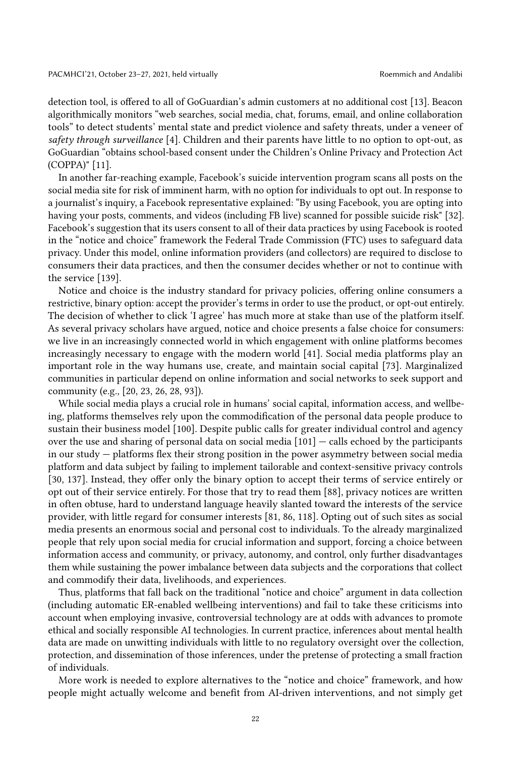detection tool, is offered to all of GoGuardian's admin customers at no additional cost [\[13\]](#page-25-13). Beacon algorithmically monitors "web searches, social media, chat, forums, email, and online collaboration tools" to detect students' mental state and predict violence and safety threats, under a veneer of safety through surveillance [\[4\]](#page-25-14). Children and their parents have little to no option to opt-out, as GoGuardian "obtains school-based consent under the Children's Online Privacy and Protection Act (COPPA)" [\[11\]](#page-25-15).

In another far-reaching example, Facebook's suicide intervention program scans all posts on the social media site for risk of imminent harm, with no option for individuals to opt out. In response to a journalist's inquiry, a Facebook representative explained: "By using Facebook, you are opting into having your posts, comments, and videos (including FB live) scanned for possible suicide risk" [\[32\]](#page-26-13). Facebook's suggestion that its users consent to all of their data practices by using Facebook is rooted in the "notice and choice" framework the Federal Trade Commission (FTC) uses to safeguard data privacy. Under this model, online information providers (and collectors) are required to disclose to consumers their data practices, and then the consumer decides whether or not to continue with the service [\[139\]](#page-32-18).

Notice and choice is the industry standard for privacy policies, offering online consumers a restrictive, binary option: accept the provider's terms in order to use the product, or opt-out entirely. The decision of whether to click 'I agree' has much more at stake than use of the platform itself. As several privacy scholars have argued, notice and choice presents a false choice for consumers: we live in an increasingly connected world in which engagement with online platforms becomes increasingly necessary to engage with the modern world [\[41\]](#page-27-18). Social media platforms play an important role in the way humans use, create, and maintain social capital [\[73\]](#page-28-18). Marginalized communities in particular depend on online information and social networks to seek support and community (e.g., [\[20,](#page-26-14) [23,](#page-26-5) [26,](#page-26-15) [28,](#page-26-16) [93\]](#page-29-2)).

While social media plays a crucial role in humans' social capital, information access, and wellbeing, platforms themselves rely upon the commodification of the personal data people produce to sustain their business model [\[100\]](#page-30-16). Despite public calls for greater individual control and agency over the use and sharing of personal data on social media  $[101]$  — calls echoed by the participants in our study — platforms flex their strong position in the power asymmetry between social media platform and data subject by failing to implement tailorable and context-sensitive privacy controls [\[30,](#page-26-17) [137\]](#page-31-16). Instead, they offer only the binary option to accept their terms of service entirely or opt out of their service entirely. For those that try to read them [\[88\]](#page-29-16), privacy notices are written in often obtuse, hard to understand language heavily slanted toward the interests of the service provider, with little regard for consumer interests [\[81,](#page-29-17) [86,](#page-29-18) [118\]](#page-30-18). Opting out of such sites as social media presents an enormous social and personal cost to individuals. To the already marginalized people that rely upon social media for crucial information and support, forcing a choice between information access and community, or privacy, autonomy, and control, only further disadvantages them while sustaining the power imbalance between data subjects and the corporations that collect and commodify their data, livelihoods, and experiences.

Thus, platforms that fall back on the traditional "notice and choice" argument in data collection (including automatic ER-enabled wellbeing interventions) and fail to take these criticisms into account when employing invasive, controversial technology are at odds with advances to promote ethical and socially responsible AI technologies. In current practice, inferences about mental health data are made on unwitting individuals with little to no regulatory oversight over the collection, protection, and dissemination of those inferences, under the pretense of protecting a small fraction of individuals.

More work is needed to explore alternatives to the "notice and choice" framework, and how people might actually welcome and benefit from AI-driven interventions, and not simply get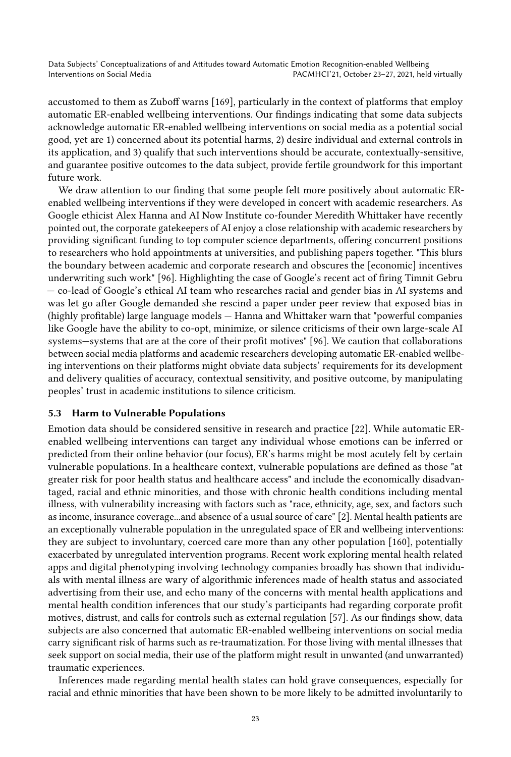accustomed to them as Zuboff warns [\[169\]](#page-33-6), particularly in the context of platforms that employ automatic ER-enabled wellbeing interventions. Our findings indicating that some data subjects acknowledge automatic ER-enabled wellbeing interventions on social media as a potential social good, yet are 1) concerned about its potential harms, 2) desire individual and external controls in its application, and 3) qualify that such interventions should be accurate, contextually-sensitive, and guarantee positive outcomes to the data subject, provide fertile groundwork for this important future work.

We draw attention to our finding that some people felt more positively about automatic ERenabled wellbeing interventions if they were developed in concert with academic researchers. As Google ethicist Alex Hanna and AI Now Institute co-founder Meredith Whittaker have recently pointed out, the corporate gatekeepers of AI enjoy a close relationship with academic researchers by providing significant funding to top computer science departments, offering concurrent positions to researchers who hold appointments at universities, and publishing papers together. "This blurs the boundary between academic and corporate research and obscures the [economic] incentives underwriting such work" [\[96\]](#page-29-19). Highlighting the case of Google's recent act of firing Timnit Gebru — co-lead of Google's ethical AI team who researches racial and gender bias in AI systems and was let go after Google demanded she rescind a paper under peer review that exposed bias in (highly profitable) large language models — Hanna and Whittaker warn that "powerful companies like Google have the ability to co-opt, minimize, or silence criticisms of their own large-scale AI systems—systems that are at the core of their profit motives" [\[96\]](#page-29-19). We caution that collaborations between social media platforms and academic researchers developing automatic ER-enabled wellbeing interventions on their platforms might obviate data subjects' requirements for its development and delivery qualities of accuracy, contextual sensitivity, and positive outcome, by manipulating peoples' trust in academic institutions to silence criticism.

### 5.3 Harm to Vulnerable Populations

Emotion data should be considered sensitive in research and practice [\[22\]](#page-26-0). While automatic ERenabled wellbeing interventions can target any individual whose emotions can be inferred or predicted from their online behavior (our focus), ER's harms might be most acutely felt by certain vulnerable populations. In a healthcare context, vulnerable populations are defined as those "at greater risk for poor health status and healthcare access" and include the economically disadvantaged, racial and ethnic minorities, and those with chronic health conditions including mental illness, with vulnerability increasing with factors such as "race, ethnicity, age, sex, and factors such as income, insurance coverage...and absence of a usual source of care" [\[2\]](#page-25-16). Mental health patients are an exceptionally vulnerable population in the unregulated space of ER and wellbeing interventions: they are subject to involuntary, coerced care more than any other population [\[160\]](#page-32-19), potentially exacerbated by unregulated intervention programs. Recent work exploring mental health related apps and digital phenotyping involving technology companies broadly has shown that individuals with mental illness are wary of algorithmic inferences made of health status and associated advertising from their use, and echo many of the concerns with mental health applications and mental health condition inferences that our study's participants had regarding corporate profit motives, distrust, and calls for controls such as external regulation [\[57\]](#page-28-14). As our findings show, data subjects are also concerned that automatic ER-enabled wellbeing interventions on social media carry significant risk of harms such as re-traumatization. For those living with mental illnesses that seek support on social media, their use of the platform might result in unwanted (and unwarranted) traumatic experiences.

Inferences made regarding mental health states can hold grave consequences, especially for racial and ethnic minorities that have been shown to be more likely to be admitted involuntarily to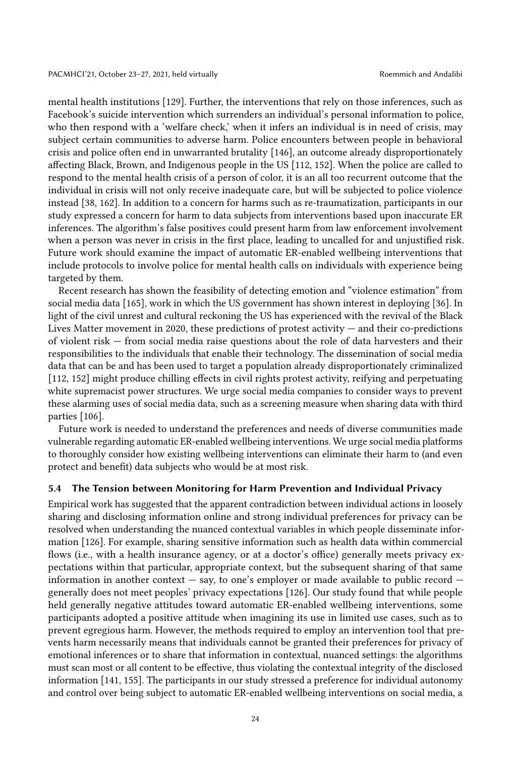mental health institutions [\[129\]](#page-31-17). Further, the interventions that rely on those inferences, such as Facebook's suicide intervention which surrenders an individual's personal information to police, who then respond with a 'welfare check,' when it infers an individual is in need of crisis, may subject certain communities to adverse harm. Police encounters between people in behavioral crisis and police often end in unwarranted brutality [\[146\]](#page-32-20), an outcome already disproportionately affecting Black, Brown, and Indigenous people in the US [\[112,](#page-30-19) [152\]](#page-32-21). When the police are called to respond to the mental health crisis of a person of color, it is an all too recurrent outcome that the individual in crisis will not only receive inadequate care, but will be subjected to police violence instead [\[38,](#page-27-19) [162\]](#page-33-7). In addition to a concern for harms such as re-traumatization, participants in our study expressed a concern for harm to data subjects from interventions based upon inaccurate ER inferences. The algorithm's false positives could present harm from law enforcement involvement when a person was never in crisis in the first place, leading to uncalled for and unjustified risk. Future work should examine the impact of automatic ER-enabled wellbeing interventions that include protocols to involve police for mental health calls on individuals with experience being targeted by them.

Recent research has shown the feasibility of detecting emotion and "violence estimation" from social media data [\[165\]](#page-33-8), work in which the US government has shown interest in deploying [\[36\]](#page-27-20). In light of the civil unrest and cultural reckoning the US has experienced with the revival of the Black Lives Matter movement in 2020, these predictions of protest activity — and their co-predictions of violent risk — from social media raise questions about the role of data harvesters and their responsibilities to the individuals that enable their technology. The dissemination of social media data that can be and has been used to target a population already disproportionately criminalized [\[112,](#page-30-19) [152\]](#page-32-21) might produce chilling effects in civil rights protest activity, reifying and perpetuating white supremacist power structures. We urge social media companies to consider ways to prevent these alarming uses of social media data, such as a screening measure when sharing data with third parties [\[106\]](#page-30-20).

Future work is needed to understand the preferences and needs of diverse communities made vulnerable regarding automatic ER-enabled wellbeing interventions. We urge social media platforms to thoroughly consider how existing wellbeing interventions can eliminate their harm to (and even protect and benefit) data subjects who would be at most risk.

#### 5.4 The Tension between Monitoring for Harm Prevention and Individual Privacy

Empirical work has suggested that the apparent contradiction between individual actions in loosely sharing and disclosing information online and strong individual preferences for privacy can be resolved when understanding the nuanced contextual variables in which people disseminate information [\[126\]](#page-31-18). For example, sharing sensitive information such as health data within commercial flows (i.e., with a health insurance agency, or at a doctor's office) generally meets privacy expectations within that particular, appropriate context, but the subsequent sharing of that same information in another context — say, to one's employer or made available to public record generally does not meet peoples' privacy expectations [\[126\]](#page-31-18). Our study found that while people held generally negative attitudes toward automatic ER-enabled wellbeing interventions, some participants adopted a positive attitude when imagining its use in limited use cases, such as to prevent egregious harm. However, the methods required to employ an intervention tool that prevents harm necessarily means that individuals cannot be granted their preferences for privacy of emotional inferences or to share that information in contextual, nuanced settings: the algorithms must scan most or all content to be effective, thus violating the contextual integrity of the disclosed information [\[141,](#page-32-22) [155\]](#page-32-1). The participants in our study stressed a preference for individual autonomy and control over being subject to automatic ER-enabled wellbeing interventions on social media, a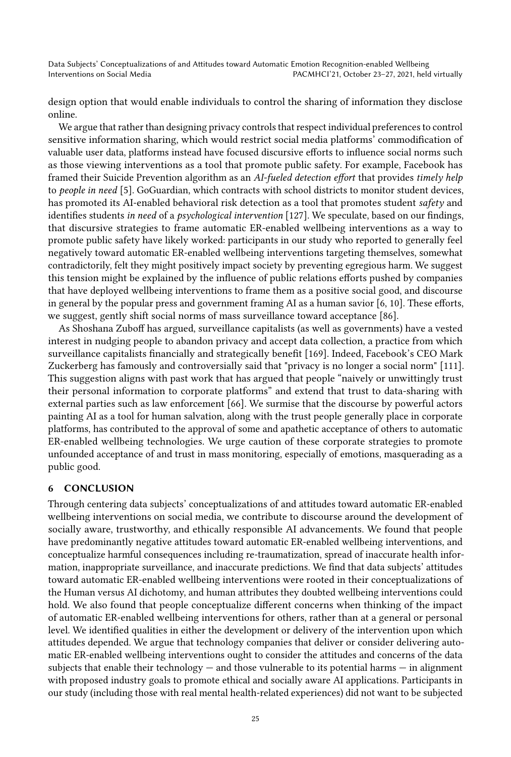design option that would enable individuals to control the sharing of information they disclose online.

We argue that rather than designing privacy controls that respect individual preferences to control sensitive information sharing, which would restrict social media platforms' commodification of valuable user data, platforms instead have focused discursive efforts to influence social norms such as those viewing interventions as a tool that promote public safety. For example, Facebook has framed their Suicide Prevention algorithm as an AI-fueled detection effort that provides timely help to people in need [\[5\]](#page-25-8). GoGuardian, which contracts with school districts to monitor student devices, has promoted its AI-enabled behavioral risk detection as a tool that promotes student safety and identifies students in need of a psychological intervention [\[127\]](#page-31-19). We speculate, based on our findings, that discursive strategies to frame automatic ER-enabled wellbeing interventions as a way to promote public safety have likely worked: participants in our study who reported to generally feel negatively toward automatic ER-enabled wellbeing interventions targeting themselves, somewhat contradictorily, felt they might positively impact society by preventing egregious harm. We suggest this tension might be explained by the influence of public relations efforts pushed by companies that have deployed wellbeing interventions to frame them as a positive social good, and discourse in general by the popular press and government framing AI as a human savior [\[6,](#page-25-9) [10\]](#page-25-10). These efforts, we suggest, gently shift social norms of mass surveillance toward acceptance [\[86\]](#page-29-18).

As Shoshana Zuboff has argued, surveillance capitalists (as well as governments) have a vested interest in nudging people to abandon privacy and accept data collection, a practice from which surveillance capitalists financially and strategically benefit [\[169\]](#page-33-6). Indeed, Facebook's CEO Mark Zuckerberg has famously and controversially said that "privacy is no longer a social norm" [\[111\]](#page-30-21). This suggestion aligns with past work that has argued that people "naively or unwittingly trust their personal information to corporate platforms" and extend that trust to data-sharing with external parties such as law enforcement [\[66\]](#page-28-19). We surmise that the discourse by powerful actors painting AI as a tool for human salvation, along with the trust people generally place in corporate platforms, has contributed to the approval of some and apathetic acceptance of others to automatic ER-enabled wellbeing technologies. We urge caution of these corporate strategies to promote unfounded acceptance of and trust in mass monitoring, especially of emotions, masquerading as a public good.

#### 6 CONCLUSION

Through centering data subjects' conceptualizations of and attitudes toward automatic ER-enabled wellbeing interventions on social media, we contribute to discourse around the development of socially aware, trustworthy, and ethically responsible AI advancements. We found that people have predominantly negative attitudes toward automatic ER-enabled wellbeing interventions, and conceptualize harmful consequences including re-traumatization, spread of inaccurate health information, inappropriate surveillance, and inaccurate predictions. We find that data subjects' attitudes toward automatic ER-enabled wellbeing interventions were rooted in their conceptualizations of the Human versus AI dichotomy, and human attributes they doubted wellbeing interventions could hold. We also found that people conceptualize different concerns when thinking of the impact of automatic ER-enabled wellbeing interventions for others, rather than at a general or personal level. We identified qualities in either the development or delivery of the intervention upon which attitudes depended. We argue that technology companies that deliver or consider delivering automatic ER-enabled wellbeing interventions ought to consider the attitudes and concerns of the data subjects that enable their technology — and those vulnerable to its potential harms — in alignment with proposed industry goals to promote ethical and socially aware AI applications. Participants in our study (including those with real mental health-related experiences) did not want to be subjected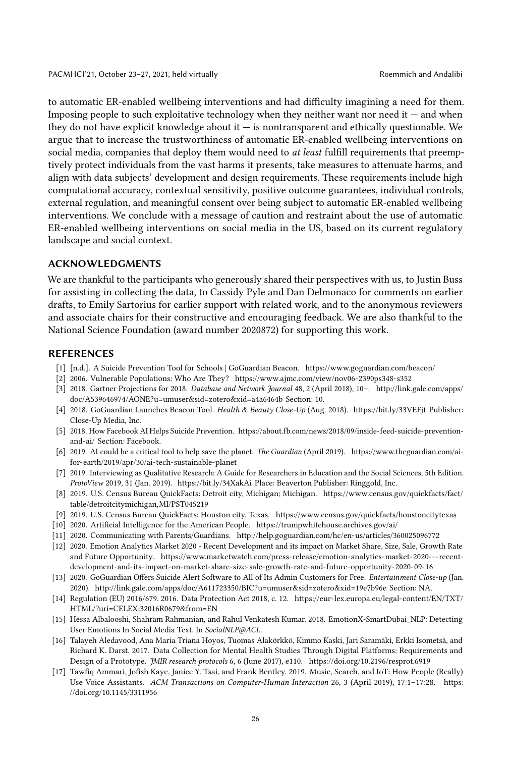to automatic ER-enabled wellbeing interventions and had difficulty imagining a need for them. Imposing people to such exploitative technology when they neither want nor need it — and when they do not have explicit knowledge about it  $-$  is nontransparent and ethically questionable. We argue that to increase the trustworthiness of automatic ER-enabled wellbeing interventions on social media, companies that deploy them would need to *at least* fulfill requirements that preemptively protect individuals from the vast harms it presents, take measures to attenuate harms, and align with data subjects' development and design requirements. These requirements include high computational accuracy, contextual sensitivity, positive outcome guarantees, individual controls, external regulation, and meaningful consent over being subject to automatic ER-enabled wellbeing interventions. We conclude with a message of caution and restraint about the use of automatic ER-enabled wellbeing interventions on social media in the US, based on its current regulatory landscape and social context.

### ACKNOWLEDGMENTS

We are thankful to the participants who generously shared their perspectives with us, to Justin Buss for assisting in collecting the data, to Cassidy Pyle and Dan Delmonaco for comments on earlier drafts, to Emily Sartorius for earlier support with related work, and to the anonymous reviewers and associate chairs for their constructive and encouraging feedback. We are also thankful to the National Science Foundation (award number 2020872) for supporting this work.

#### REFERENCES

- <span id="page-25-12"></span>[1] [n.d.]. A Suicide Prevention Tool for Schools | GoGuardian Beacon.<https://www.goguardian.com/beacon/>
- <span id="page-25-16"></span>[2] 2006. Vulnerable Populations: Who Are They?<https://www.ajmc.com/view/nov06-2390ps348-s352>
- <span id="page-25-0"></span>[3] 2018. Gartner Projections for 2018. Database and Network Journal 48, 2 (April 2018), 10–. [http://link.gale.com/apps/](http://link.gale.com/apps/doc/A539646974/AONE?u=umuser&sid=zotero&xid=a4a6464b) [doc/A539646974/AONE?u=umuser&sid=zotero&xid=a4a6464b](http://link.gale.com/apps/doc/A539646974/AONE?u=umuser&sid=zotero&xid=a4a6464b) Section: 10.
- <span id="page-25-14"></span>[4] 2018. GoGuardian Launches Beacon Tool. Health & Beauty Close-Up (Aug. 2018).<https://bit.ly/33VEFjt> Publisher: Close-Up Media, Inc.
- <span id="page-25-8"></span>[5] 2018. How Facebook AI Helps Suicide Prevention. [https://about.fb.com/news/2018/09/inside-feed-suicide-prevention](https://about.fb.com/news/2018/09/inside-feed-suicide-prevention-and-ai/)[and-ai/](https://about.fb.com/news/2018/09/inside-feed-suicide-prevention-and-ai/) Section: Facebook.
- <span id="page-25-9"></span>[6] 2019. AI could be a critical tool to help save the planet. The Guardian (April 2019). [https://www.theguardian.com/ai](https://www.theguardian.com/ai-for-earth/2019/apr/30/ai-tech-sustainable-planet)[for-earth/2019/apr/30/ai-tech-sustainable-planet](https://www.theguardian.com/ai-for-earth/2019/apr/30/ai-tech-sustainable-planet)
- <span id="page-25-6"></span>[7] 2019. Interviewing as Qualitative Research: A Guide for Researchers in Education and the Social Sciences, 5th Edition. ProtoView 2019, 31 (Jan. 2019).<https://bit.ly/34XakAi> Place: Beaverton Publisher: Ringgold, Inc.
- <span id="page-25-4"></span>[8] 2019. U.S. Census Bureau QuickFacts: Detroit city, Michigan; Michigan. [https://www.census.gov/quickfacts/fact/](https://www.census.gov/quickfacts/fact/table/detroitcitymichigan,MI/PST045219) [table/detroitcitymichigan,MI/PST045219](https://www.census.gov/quickfacts/fact/table/detroitcitymichigan,MI/PST045219)
- <span id="page-25-5"></span>[9] 2019. U.S. Census Bureau QuickFacts: Houston city, Texas.<https://www.census.gov/quickfacts/houstoncitytexas>
- <span id="page-25-10"></span>[10] 2020. Artificial Intelligence for the American People.<https://trumpwhitehouse.archives.gov/ai/>
- <span id="page-25-15"></span>[11] 2020. Communicating with Parents/Guardians.<http://help.goguardian.com/hc/en-us/articles/360025096772>
- <span id="page-25-11"></span>[12] 2020. Emotion Analytics Market 2020 - Recent Development and its impact on Market Share, Size, Sale, Growth Rate and Future Opportunity. [https://www.marketwatch.com/press-release/emotion-analytics-market-2020---recent](https://www.marketwatch.com/press-release/emotion-analytics-market-2020---recent-development-and-its-impact-on-market-share-size-sale-growth-rate-and-future-opportunity-2020-09-16)[development-and-its-impact-on-market-share-size-sale-growth-rate-and-future-opportunity-2020-09-16](https://www.marketwatch.com/press-release/emotion-analytics-market-2020---recent-development-and-its-impact-on-market-share-size-sale-growth-rate-and-future-opportunity-2020-09-16)
- <span id="page-25-13"></span>[13] 2020. GoGuardian Offers Suicide Alert Software to All of Its Admin Customers for Free. Entertainment Close-up (Jan. 2020).<http://link.gale.com/apps/doc/A611723350/BIC?u=umuser&sid=zotero&xid=19e7b96e> Section: NA.
- <span id="page-25-2"></span>[14] Regulation (EU) 2016/679. 2016. Data Protection Act 2018, c. 12. [https://eur-lex.europa.eu/legal-content/EN/TXT/](https://eur-lex.europa.eu/legal-content/EN/TXT/HTML/?uri=CELEX:32016R0679&from=EN) [HTML/?uri=CELEX:32016R0679&from=EN](https://eur-lex.europa.eu/legal-content/EN/TXT/HTML/?uri=CELEX:32016R0679&from=EN)
- <span id="page-25-3"></span>[15] Hessa Albalooshi, Shahram Rahmanian, and Rahul Venkatesh Kumar. 2018. EmotionX-SmartDubai\_NLP: Detecting User Emotions In Social Media Text. In SocialNLP@ACL.
- <span id="page-25-1"></span>[16] Talayeh Aledavood, Ana Maria Triana Hoyos, Tuomas Alakörkkö, Kimmo Kaski, Jari Saramäki, Erkki Isometsä, and Richard K. Darst. 2017. Data Collection for Mental Health Studies Through Digital Platforms: Requirements and Design of a Prototype. JMIR research protocols 6, 6 (June 2017), e110.<https://doi.org/10.2196/resprot.6919>
- <span id="page-25-7"></span>[17] Tawfiq Ammari, Jofish Kaye, Janice Y. Tsai, and Frank Bentley. 2019. Music, Search, and IoT: How People (Really) Use Voice Assistants. ACM Transactions on Computer-Human Interaction 26, 3 (April 2019), 17:1–17:28. [https:](https://doi.org/10.1145/3311956) [//doi.org/10.1145/3311956](https://doi.org/10.1145/3311956)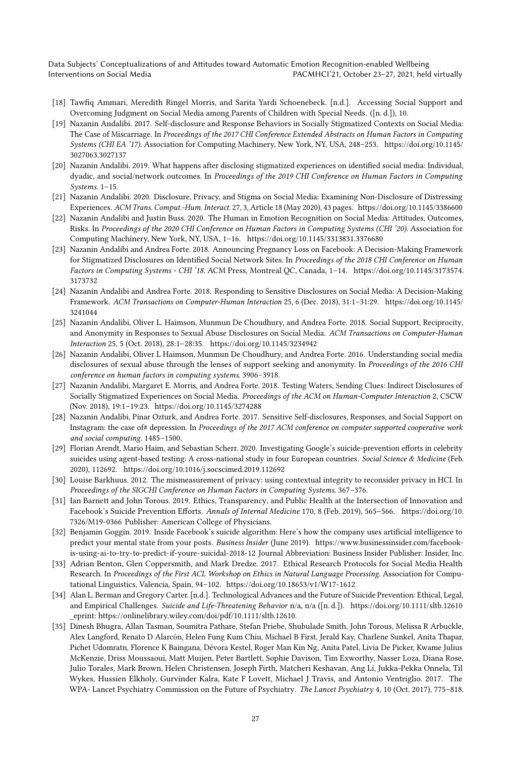- <span id="page-26-10"></span>[18] Tawfiq Ammari, Meredith Ringel Morris, and Sarita Yardi Schoenebeck. [n.d.]. Accessing Social Support and Overcoming Judgment on Social Media among Parents of Children with Special Needs. ([n. d.]), 10.
- <span id="page-26-2"></span>[19] Nazanin Andalibi. 2017. Self-disclosure and Response Behaviors in Socially Stigmatized Contexts on Social Media: The Case of Miscarriage. In Proceedings of the 2017 CHI Conference Extended Abstracts on Human Factors in Computing Systems (CHI EA '17). Association for Computing Machinery, New York, NY, USA, 248–253. [https://doi.org/10.1145/](https://doi.org/10.1145/3027063.3027137) [3027063.3027137](https://doi.org/10.1145/3027063.3027137)
- <span id="page-26-14"></span>[20] Nazanin Andalibi. 2019. What happens after disclosing stigmatized experiences on identified social media: Individual, dyadic, and social/network outcomes. In Proceedings of the 2019 CHI Conference on Human Factors in Computing Systems. 1–15.
- <span id="page-26-12"></span>[21] Nazanin Andalibi. 2020. Disclosure, Privacy, and Stigma on Social Media: Examining Non-Disclosure of Distressing Experiences. ACM Trans. Comput.-Hum. Interact. 27, 3, Article 18 (May 2020), 43 pages.<https://doi.org/10.1145/3386600>
- <span id="page-26-0"></span>[22] Nazanin Andalibi and Justin Buss. 2020. The Human in Emotion Recognition on Social Media: Attitudes, Outcomes, Risks. In Proceedings of the 2020 CHI Conference on Human Factors in Computing Systems (CHI '20). Association for Computing Machinery, New York, NY, USA, 1–16.<https://doi.org/10.1145/3313831.3376680>
- <span id="page-26-5"></span>[23] Nazanin Andalibi and Andrea Forte. 2018. Announcing Pregnancy Loss on Facebook: A Decision-Making Framework for Stigmatized Disclosures on Identified Social Network Sites. In Proceedings of the 2018 CHI Conference on Human Factors in Computing Systems - CHI '18. ACM Press, Montreal QC, Canada, 1–14. [https://doi.org/10.1145/3173574.](https://doi.org/10.1145/3173574.3173732) [3173732](https://doi.org/10.1145/3173574.3173732)
- <span id="page-26-11"></span>[24] Nazanin Andalibi and Andrea Forte. 2018. Responding to Sensitive Disclosures on Social Media: A Decision-Making Framework. ACM Transactions on Computer-Human Interaction 25, 6 (Dec. 2018), 31:1–31:29. [https://doi.org/10.1145/](https://doi.org/10.1145/3241044) [3241044](https://doi.org/10.1145/3241044)
- <span id="page-26-3"></span>[25] Nazanin Andalibi, Oliver L. Haimson, Munmun De Choudhury, and Andrea Forte. 2018. Social Support, Reciprocity, and Anonymity in Responses to Sexual Abuse Disclosures on Social Media. ACM Transactions on Computer-Human Interaction 25, 5 (Oct. 2018), 28:1–28:35.<https://doi.org/10.1145/3234942>
- <span id="page-26-15"></span>[26] Nazanin Andalibi, Oliver L Haimson, Munmun De Choudhury, and Andrea Forte. 2016. Understanding social media disclosures of sexual abuse through the lenses of support seeking and anonymity. In Proceedings of the 2016 CHI conference on human factors in computing systems. 3906–3918.
- <span id="page-26-6"></span>[27] Nazanin Andalibi, Margaret E. Morris, and Andrea Forte. 2018. Testing Waters, Sending Clues: Indirect Disclosures of Socially Stigmatized Experiences on Social Media. Proceedings of the ACM on Human-Computer Interaction 2, CSCW (Nov. 2018), 19:1–19:23.<https://doi.org/10.1145/3274288>
- <span id="page-26-16"></span>[28] Nazanin Andalibi, Pinar Ozturk, and Andrea Forte. 2017. Sensitive Self-disclosures, Responses, and Social Support on Instagram: the case of# depression. In Proceedings of the 2017 ACM conference on computer supported cooperative work and social computing. 1485–1500.
- <span id="page-26-9"></span>[29] Florian Arendt, Mario Haim, and Sebastian Scherr. 2020. Investigating Google's suicide-prevention efforts in celebrity suicides using agent-based testing: A cross-national study in four European countries. Social Science & Medicine (Feb. 2020), 112692.<https://doi.org/10.1016/j.socscimed.2019.112692>
- <span id="page-26-17"></span>[30] Louise Barkhuus. 2012. The mismeasurement of privacy: using contextual integrity to reconsider privacy in HCI. In Proceedings of the SIGCHI Conference on Human Factors in Computing Systems. 367–376.
- <span id="page-26-7"></span>[31] Ian Barnett and John Torous. 2019. Ethics, Transparency, and Public Health at the Intersection of Innovation and Facebook's Suicide Prevention Efforts. Annals of Internal Medicine 170, 8 (Feb. 2019), 565–566. [https://doi.org/10.](https://doi.org/10.7326/M19-0366) [7326/M19-0366](https://doi.org/10.7326/M19-0366) Publisher: American College of Physicians.
- <span id="page-26-13"></span>[32] Benjamin Goggin. 2019. Inside Facebook's suicide algorithm: Here's how the company uses artificial intelligence to predict your mental state from your posts. Business Insider (June 2019). [https://www.businessinsider.com/facebook](https://www.businessinsider.com/facebook-is-using-ai-to-try-to-predict-if-youre-suicidal-2018-12)[is-using-ai-to-try-to-predict-if-youre-suicidal-2018-12](https://www.businessinsider.com/facebook-is-using-ai-to-try-to-predict-if-youre-suicidal-2018-12) Journal Abbreviation: Business Insider Publisher: Insider, Inc.
- <span id="page-26-4"></span>[33] Adrian Benton, Glen Coppersmith, and Mark Dredze. 2017. Ethical Research Protocols for Social Media Health Research. In Proceedings of the First ACL Workshop on Ethics in Natural Language Processing. Association for Computational Linguistics, Valencia, Spain, 94–102.<https://doi.org/10.18653/v1/W17-1612>
- <span id="page-26-8"></span>[34] Alan L. Berman and Gregory Carter. [n.d.]. Technological Advances and the Future of Suicide Prevention: Ethical, Legal, and Empirical Challenges. Suicide and Life-Threatening Behavior n/a, n/a ([n. d.]).<https://doi.org/10.1111/sltb.12610> \_eprint: https://onlinelibrary.wiley.com/doi/pdf/10.1111/sltb.12610.
- <span id="page-26-1"></span>[35] Dinesh Bhugra, Allan Tasman, Soumitra Pathare, Stefan Priebe, Shubulade Smith, John Torous, Melissa R Arbuckle, Alex Langford, Renato D Alarcón, Helen Fung Kum Chiu, Michael B First, Jerald Kay, Charlene Sunkel, Anita Thapar, Pichet Udomratn, Florence K Baingana, Dévora Kestel, Roger Man Kin Ng, Anita Patel, Livia De Picker, Kwame Julius McKenzie, Driss Moussaoui, Matt Muijen, Peter Bartlett, Sophie Davison, Tim Exworthy, Nasser Loza, Diana Rose, Julio Torales, Mark Brown, Helen Christensen, Joseph Firth, Matcheri Keshavan, Ang Li, Jukka-Pekka Onnela, Til Wykes, Hussien Elkholy, Gurvinder Kalra, Kate F Lovett, Michael J Travis, and Antonio Ventriglio. 2017. The WPA- Lancet Psychiatry Commission on the Future of Psychiatry. The Lancet Psychiatry 4, 10 (Oct. 2017), 775–818.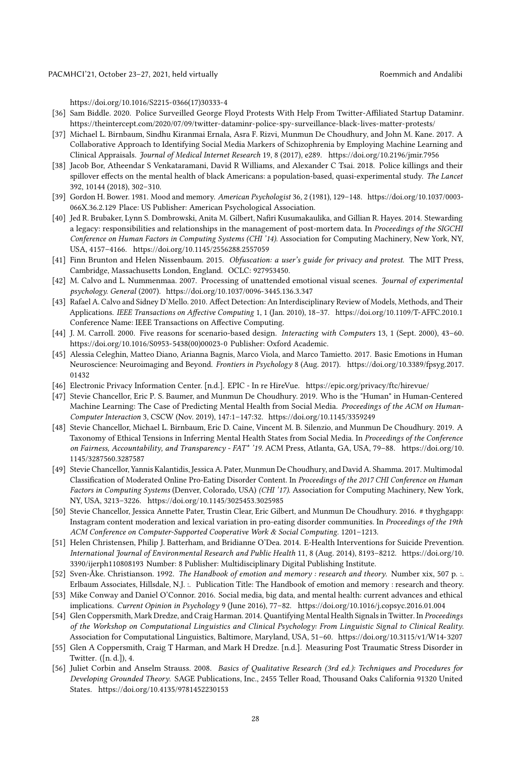[https://doi.org/10.1016/S2215-0366\(17\)30333-4](https://doi.org/10.1016/S2215-0366(17)30333-4)

- <span id="page-27-20"></span>[36] Sam Biddle. 2020. Police Surveilled George Floyd Protests With Help From Twitter-Affiliated Startup Dataminr. <https://theintercept.com/2020/07/09/twitter-dataminr-police-spy-surveillance-black-lives-matter-protests/>
- <span id="page-27-10"></span>[37] Michael L. Birnbaum, Sindhu Kiranmai Ernala, Asra F. Rizvi, Munmun De Choudhury, and John M. Kane. 2017. A Collaborative Approach to Identifying Social Media Markers of Schizophrenia by Employing Machine Learning and Clinical Appraisals. Journal of Medical Internet Research 19, 8 (2017), e289.<https://doi.org/10.2196/jmir.7956>
- <span id="page-27-19"></span>[38] Jacob Bor, Atheendar S Venkataramani, David R Williams, and Alexander C Tsai. 2018. Police killings and their spillover effects on the mental health of black Americans: a population-based, quasi-experimental study. The Lancet 392, 10144 (2018), 302–310.
- <span id="page-27-7"></span>[39] Gordon H. Bower. 1981. Mood and memory. American Psychologist 36, 2 (1981), 129–148. [https://doi.org/10.1037/0003-](https://doi.org/10.1037/0003-066X.36.2.129) [066X.36.2.129](https://doi.org/10.1037/0003-066X.36.2.129) Place: US Publisher: American Psychological Association.
- <span id="page-27-13"></span>[40] Jed R. Brubaker, Lynn S. Dombrowski, Anita M. Gilbert, Nafiri Kusumakaulika, and Gillian R. Hayes. 2014. Stewarding a legacy: responsibilities and relationships in the management of post-mortem data. In Proceedings of the SIGCHI Conference on Human Factors in Computing Systems (CHI '14). Association for Computing Machinery, New York, NY, USA, 4157–4166.<https://doi.org/10.1145/2556288.2557059>
- <span id="page-27-18"></span>[41] Finn Brunton and Helen Nissenbaum. 2015. Obfuscation: a user's guide for privacy and protest. The MIT Press, Cambridge, Massachusetts London, England. OCLC: 927953450.
- <span id="page-27-8"></span>[42] M. Calvo and L. Nummenmaa. 2007. Processing of unattended emotional visual scenes. Journal of experimental psychology. General (2007).<https://doi.org/10.1037/0096-3445.136.3.347>
- <span id="page-27-6"></span>[43] Rafael A. Calvo and Sidney D'Mello. 2010. Affect Detection: An Interdisciplinary Review of Models, Methods, and Their Applications. IEEE Transactions on Affective Computing 1, 1 (Jan. 2010), 18–37.<https://doi.org/10.1109/T-AFFC.2010.1> Conference Name: IEEE Transactions on Affective Computing.
- <span id="page-27-14"></span>[44] J. M. Carroll. 2000. Five reasons for scenario-based design. Interacting with Computers 13, 1 (Sept. 2000), 43–60. [https://doi.org/10.1016/S0953-5438\(00\)00023-0](https://doi.org/10.1016/S0953-5438(00)00023-0) Publisher: Oxford Academic.
- <span id="page-27-9"></span>[45] Alessia Celeghin, Matteo Diano, Arianna Bagnis, Marco Viola, and Marco Tamietto. 2017. Basic Emotions in Human Neuroscience: Neuroimaging and Beyond. Frontiers in Psychology 8 (Aug. 2017). [https://doi.org/10.3389/fpsyg.2017.](https://doi.org/10.3389/fpsyg.2017.01432) [01432](https://doi.org/10.3389/fpsyg.2017.01432)
- <span id="page-27-17"></span>[46] Electronic Privacy Information Center. [n.d.]. EPIC - In re HireVue.<https://epic.org/privacy/ftc/hirevue/>
- <span id="page-27-2"></span>[47] Stevie Chancellor, Eric P. S. Baumer, and Munmun De Choudhury. 2019. Who is the "Human" in Human-Centered Machine Learning: The Case of Predicting Mental Health from Social Media. Proceedings of the ACM on Human-Computer Interaction 3, CSCW (Nov. 2019), 147:1–147:32.<https://doi.org/10.1145/3359249>
- <span id="page-27-4"></span>[48] Stevie Chancellor, Michael L. Birnbaum, Eric D. Caine, Vincent M. B. Silenzio, and Munmun De Choudhury. 2019. A Taxonomy of Ethical Tensions in Inferring Mental Health States from Social Media. In Proceedings of the Conference on Fairness, Accountability, and Transparency - FAT\* '19. ACM Press, Atlanta, GA, USA, 79–88. [https://doi.org/10.](https://doi.org/10.1145/3287560.3287587) [1145/3287560.3287587](https://doi.org/10.1145/3287560.3287587)
- <span id="page-27-12"></span>[49] Stevie Chancellor, Yannis Kalantidis, Jessica A. Pater, Munmun De Choudhury, and David A. Shamma. 2017. Multimodal Classification of Moderated Online Pro-Eating Disorder Content. In Proceedings of the 2017 CHI Conference on Human Factors in Computing Systems (Denver, Colorado, USA) (CHI '17). Association for Computing Machinery, New York, NY, USA, 3213–3226.<https://doi.org/10.1145/3025453.3025985>
- <span id="page-27-16"></span>[50] Stevie Chancellor, Jessica Annette Pater, Trustin Clear, Eric Gilbert, and Munmun De Choudhury. 2016. # thyghgapp: Instagram content moderation and lexical variation in pro-eating disorder communities. In Proceedings of the 19th ACM Conference on Computer-Supported Cooperative Work & Social Computing. 1201–1213.
- <span id="page-27-1"></span>[51] Helen Christensen, Philip J. Batterham, and Bridianne O'Dea. 2014. E-Health Interventions for Suicide Prevention. International Journal of Environmental Research and Public Health 11, 8 (Aug. 2014), 8193–8212. [https://doi.org/10.](https://doi.org/10.3390/ijerph110808193) [3390/ijerph110808193](https://doi.org/10.3390/ijerph110808193) Number: 8 Publisher: Multidisciplinary Digital Publishing Institute.
- <span id="page-27-0"></span>[52] Sven-Åke. Christianson. 1992. The Handbook of emotion and memory : research and theory. Number xix, 507 p. :. Erlbaum Associates, Hillsdale, N.J. :. Publication Title: The Handbook of emotion and memory : research and theory.
- <span id="page-27-5"></span>[53] Mike Conway and Daniel O'Connor. 2016. Social media, big data, and mental health: current advances and ethical implications. Current Opinion in Psychology 9 (June 2016), 77–82.<https://doi.org/10.1016/j.copsyc.2016.01.004>
- <span id="page-27-3"></span>[54] Glen Coppersmith, Mark Dredze, and Craig Harman. 2014. Quantifying Mental Health Signals in Twitter. In Proceedings of the Workshop on Computational Linguistics and Clinical Psychology: From Linguistic Signal to Clinical Reality. Association for Computational Linguistics, Baltimore, Maryland, USA, 51–60.<https://doi.org/10.3115/v1/W14-3207>
- <span id="page-27-11"></span>[55] Glen A Coppersmith, Craig T Harman, and Mark H Dredze. [n.d.]. Measuring Post Traumatic Stress Disorder in Twitter. ([n. d.]), 4.
- <span id="page-27-15"></span>[56] Juliet Corbin and Anselm Strauss. 2008. Basics of Qualitative Research (3rd ed.): Techniques and Procedures for Developing Grounded Theory. SAGE Publications, Inc., 2455 Teller Road, Thousand Oaks California 91320 United States.<https://doi.org/10.4135/9781452230153>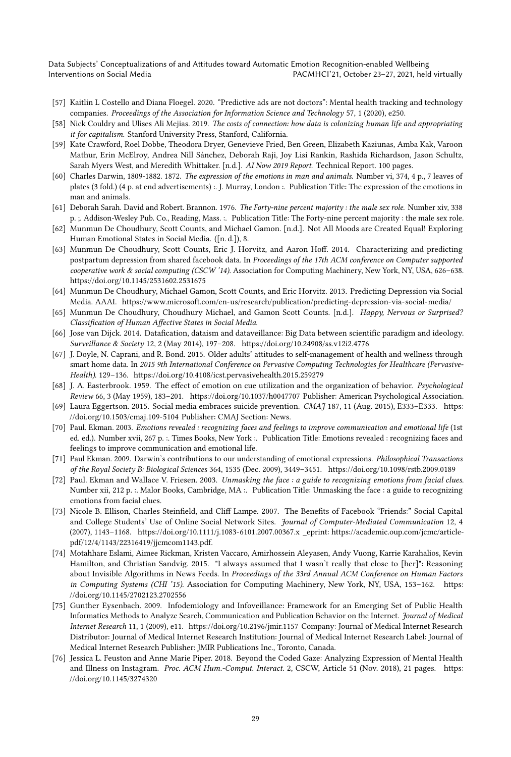- <span id="page-28-14"></span>[57] Kaitlin L Costello and Diana Floegel. 2020. "Predictive ads are not doctors": Mental health tracking and technology companies. Proceedings of the Association for Information Science and Technology 57, 1 (2020), e250.
- <span id="page-28-1"></span>[58] Nick Couldry and Ulises Ali Mejias. 2019. The costs of connection: how data is colonizing human life and appropriating it for capitalism. Stanford University Press, Stanford, California.
- <span id="page-28-13"></span>[59] Kate Crawford, Roel Dobbe, Theodora Dryer, Genevieve Fried, Ben Green, Elizabeth Kaziunas, Amba Kak, Varoon Mathur, Erin McElroy, Andrea Nill Sánchez, Deborah Raji, Joy Lisi Rankin, Rashida Richardson, Jason Schultz, Sarah Myers West, and Meredith Whittaker. [n.d.]. AI Now 2019 Report. Technical Report. 100 pages.
- <span id="page-28-2"></span>[60] Charles Darwin, 1809-1882. 1872. The expression of the emotions in man and animals. Number vi, 374, 4 p., 7 leaves of plates (3 fold.) (4 p. at end advertisements) :. J. Murray, London :. Publication Title: The expression of the emotions in man and animals.
- <span id="page-28-16"></span>[61] Deborah Sarah. David and Robert. Brannon. 1976. The Forty-nine percent majority : the male sex role. Number xiv, 338 p. ;. Addison-Wesley Pub. Co., Reading, Mass. :. Publication Title: The Forty-nine percent majority : the male sex role.
- <span id="page-28-6"></span>[62] Munmun De Choudhury, Scott Counts, and Michael Gamon. [n.d.]. Not All Moods are Created Equal! Exploring Human Emotional States in Social Media. ([n. d.]), 8.
- <span id="page-28-9"></span>[63] Munmun De Choudhury, Scott Counts, Eric J. Horvitz, and Aaron Hoff. 2014. Characterizing and predicting postpartum depression from shared facebook data. In Proceedings of the 17th ACM conference on Computer supported cooperative work & social computing (CSCW '14). Association for Computing Machinery, New York, NY, USA, 626–638. <https://doi.org/10.1145/2531602.2531675>
- <span id="page-28-8"></span>[64] Munmun De Choudhury, Michael Gamon, Scott Counts, and Eric Horvitz. 2013. Predicting Depression via Social Media. AAAI.<https://www.microsoft.com/en-us/research/publication/predicting-depression-via-social-media/>
- <span id="page-28-7"></span>[65] Munmun De Choudhury, Choudhury Michael, and Gamon Scott Counts. [n.d.]. Happy, Nervous or Surprised? Classification of Human Affective States in Social Media.
- <span id="page-28-19"></span>[66] Jose van Dijck. 2014. Datafication, dataism and dataveillance: Big Data between scientific paradigm and ideology. Surveillance & Society 12, 2 (May 2014), 197–208.<https://doi.org/10.24908/ss.v12i2.4776>
- <span id="page-28-17"></span>[67] J. Doyle, N. Caprani, and R. Bond. 2015. Older adults' attitudes to self-management of health and wellness through smart home data. In 2015 9th International Conference on Pervasive Computing Technologies for Healthcare (Pervasive-Health). 129–136.<https://doi.org/10.4108/icst.pervasivehealth.2015.259279>
- <span id="page-28-0"></span>[68] J. A. Easterbrook. 1959. The effect of emotion on cue utilization and the organization of behavior. Psychological Review 66, 3 (May 1959), 183–201.<https://doi.org/10.1037/h0047707> Publisher: American Psychological Association.
- <span id="page-28-11"></span>[69] Laura Eggertson. 2015. Social media embraces suicide prevention. CMAJ 187, 11 (Aug. 2015), E333–E333. [https:](https://doi.org/10.1503/cmaj.109-5104) [//doi.org/10.1503/cmaj.109-5104](https://doi.org/10.1503/cmaj.109-5104) Publisher: CMAJ Section: News.
- <span id="page-28-4"></span>[70] Paul. Ekman. 2003. Emotions revealed : recognizing faces and feelings to improve communication and emotional life (1st ed. ed.). Number xvii, 267 p. :. Times Books, New York :. Publication Title: Emotions revealed : recognizing faces and feelings to improve communication and emotional life.
- <span id="page-28-3"></span>[71] Paul Ekman. 2009. Darwin's contributions to our understanding of emotional expressions. Philosophical Transactions of the Royal Society B: Biological Sciences 364, 1535 (Dec. 2009), 3449–3451.<https://doi.org/10.1098/rstb.2009.0189>
- <span id="page-28-5"></span>[72] Paul. Ekman and Wallace V. Friesen. 2003. Unmasking the face : a guide to recognizing emotions from facial clues. Number xii, 212 p. :. Malor Books, Cambridge, MA :. Publication Title: Unmasking the face : a guide to recognizing emotions from facial clues.
- <span id="page-28-18"></span>[73] Nicole B. Ellison, Charles Steinfield, and Cliff Lampe. 2007. The Benefits of Facebook "Friends:" Social Capital and College Students' Use of Online Social Network Sites. Journal of Computer-Mediated Communication 12, 4 (2007), 1143–1168.<https://doi.org/10.1111/j.1083-6101.2007.00367.x> \_eprint: https://academic.oup.com/jcmc/articlepdf/12/4/1143/22316419/jjcmcom1143.pdf.
- <span id="page-28-15"></span>[74] Motahhare Eslami, Aimee Rickman, Kristen Vaccaro, Amirhossein Aleyasen, Andy Vuong, Karrie Karahalios, Kevin Hamilton, and Christian Sandvig. 2015. "I always assumed that I wasn't really that close to [her]": Reasoning about Invisible Algorithms in News Feeds. In Proceedings of the 33rd Annual ACM Conference on Human Factors in Computing Systems (CHI '15). Association for Computing Machinery, New York, NY, USA, 153–162. [https:](https://doi.org/10.1145/2702123.2702556) [//doi.org/10.1145/2702123.2702556](https://doi.org/10.1145/2702123.2702556)
- <span id="page-28-10"></span>[75] Gunther Eysenbach. 2009. Infodemiology and Infoveillance: Framework for an Emerging Set of Public Health Informatics Methods to Analyze Search, Communication and Publication Behavior on the Internet. Journal of Medical Internet Research 11, 1 (2009), e11.<https://doi.org/10.2196/jmir.1157> Company: Journal of Medical Internet Research Distributor: Journal of Medical Internet Research Institution: Journal of Medical Internet Research Label: Journal of Medical Internet Research Publisher: JMIR Publications Inc., Toronto, Canada.
- <span id="page-28-12"></span>[76] Jessica L. Feuston and Anne Marie Piper. 2018. Beyond the Coded Gaze: Analyzing Expression of Mental Health and Illness on Instagram. Proc. ACM Hum.-Comput. Interact. 2, CSCW, Article 51 (Nov. 2018), 21 pages. [https:](https://doi.org/10.1145/3274320) [//doi.org/10.1145/3274320](https://doi.org/10.1145/3274320)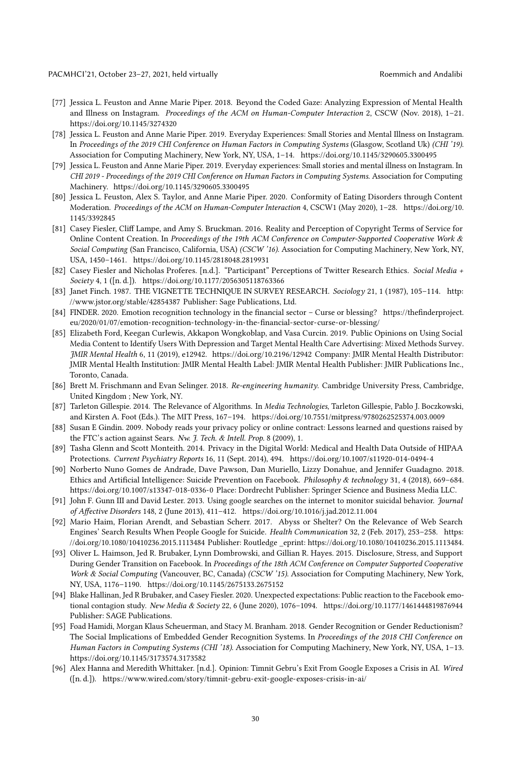PACMHCI'21, October 23-27, 2021, held virtually and Andalibi

- <span id="page-29-11"></span>[77] Jessica L. Feuston and Anne Marie Piper. 2018. Beyond the Coded Gaze: Analyzing Expression of Mental Health and Illness on Instagram. Proceedings of the ACM on Human-Computer Interaction 2, CSCW (Nov. 2018), 1–21. <https://doi.org/10.1145/3274320>
- <span id="page-29-5"></span>[78] Jessica L. Feuston and Anne Marie Piper. 2019. Everyday Experiences: Small Stories and Mental Illness on Instagram. In Proceedings of the 2019 CHI Conference on Human Factors in Computing Systems (Glasgow, Scotland Uk) (CHI '19). Association for Computing Machinery, New York, NY, USA, 1–14.<https://doi.org/10.1145/3290605.3300495>
- <span id="page-29-12"></span>[79] Jessica L. Feuston and Anne Marie Piper. 2019. Everyday experiences: Small stories and mental illness on Instagram. In CHI 2019 - Proceedings of the 2019 CHI Conference on Human Factors in Computing Systems. Association for Computing Machinery.<https://doi.org/10.1145/3290605.3300495>
- <span id="page-29-13"></span>[80] Jessica L. Feuston, Alex S. Taylor, and Anne Marie Piper. 2020. Conformity of Eating Disorders through Content Moderation. Proceedings of the ACM on Human-Computer Interaction 4, CSCW1 (May 2020), 1–28. [https://doi.org/10.](https://doi.org/10.1145/3392845) [1145/3392845](https://doi.org/10.1145/3392845)
- <span id="page-29-17"></span>[81] Casey Fiesler, Cliff Lampe, and Amy S. Bruckman. 2016. Reality and Perception of Copyright Terms of Service for Online Content Creation. In Proceedings of the 19th ACM Conference on Computer-Supported Cooperative Work & Social Computing (San Francisco, California, USA) (CSCW '16). Association for Computing Machinery, New York, NY, USA, 1450–1461.<https://doi.org/10.1145/2818048.2819931>
- <span id="page-29-14"></span>[82] Casey Fiesler and Nicholas Proferes. [n.d.]. "Participant" Perceptions of Twitter Research Ethics. Social Media + Society 4, 1 ([n. d.]).<https://doi.org/10.1177/2056305118763366>
- <span id="page-29-9"></span>[83] Janet Finch. 1987. THE VIGNETTE TECHNIQUE IN SURVEY RESEARCH. Sociology 21, 1 (1987), 105-114. [http:](http://www.jstor.org/stable/42854387) [//www.jstor.org/stable/42854387](http://www.jstor.org/stable/42854387) Publisher: Sage Publications, Ltd.
- <span id="page-29-15"></span>[84] FINDER. 2020. Emotion recognition technology in the financial sector – Curse or blessing? [https://thefinderproject.](https://thefinderproject.eu/2020/01/07/emotion-recognition-technology-in-the-financial-sector-curse-or-blessing/) [eu/2020/01/07/emotion-recognition-technology-in-the-financial-sector-curse-or-blessing/](https://thefinderproject.eu/2020/01/07/emotion-recognition-technology-in-the-financial-sector-curse-or-blessing/)
- <span id="page-29-6"></span>[85] Elizabeth Ford, Keegan Curlewis, Akkapon Wongkoblap, and Vasa Curcin. 2019. Public Opinions on Using Social Media Content to Identify Users With Depression and Target Mental Health Care Advertising: Mixed Methods Survey. JMIR Mental Health 6, 11 (2019), e12942.<https://doi.org/10.2196/12942> Company: JMIR Mental Health Distributor: JMIR Mental Health Institution: JMIR Mental Health Label: JMIR Mental Health Publisher: JMIR Publications Inc., Toronto, Canada.
- <span id="page-29-18"></span>[86] Brett M. Frischmann and Evan Selinger. 2018. Re-engineering humanity. Cambridge University Press, Cambridge, United Kingdom ; New York, NY.
- <span id="page-29-7"></span>[87] Tarleton Gillespie. 2014. The Relevance of Algorithms. In Media Technologies, Tarleton Gillespie, Pablo J. Boczkowski, and Kirsten A. Foot (Eds.). The MIT Press, 167–194.<https://doi.org/10.7551/mitpress/9780262525374.003.0009>
- <span id="page-29-16"></span>[88] Susan E Gindin. 2009. Nobody reads your privacy policy or online contract: Lessons learned and questions raised by the FTC's action against Sears. Nw. J. Tech. & Intell. Prop. 8 (2009), 1.
- <span id="page-29-1"></span>[89] Tasha Glenn and Scott Monteith. 2014. Privacy in the Digital World: Medical and Health Data Outside of HIPAA Protections. Current Psychiatry Reports 16, 11 (Sept. 2014), 494.<https://doi.org/10.1007/s11920-014-0494-4>
- <span id="page-29-4"></span>[90] Norberto Nuno Gomes de Andrade, Dave Pawson, Dan Muriello, Lizzy Donahue, and Jennifer Guadagno. 2018. Ethics and Artificial Intelligence: Suicide Prevention on Facebook. Philosophy & technology 31, 4 (2018), 669-684. <https://doi.org/10.1007/s13347-018-0336-0> Place: Dordrecht Publisher: Springer Science and Business Media LLC.
- <span id="page-29-3"></span>[91] John F. Gunn III and David Lester. 2013. Using google searches on the internet to monitor suicidal behavior. Journal of Affective Disorders 148, 2 (June 2013), 411–412.<https://doi.org/10.1016/j.jad.2012.11.004>
- <span id="page-29-8"></span>[92] Mario Haim, Florian Arendt, and Sebastian Scherr. 2017. Abyss or Shelter? On the Relevance of Web Search Engines' Search Results When People Google for Suicide. Health Communication 32, 2 (Feb. 2017), 253–258. [https:](https://doi.org/10.1080/10410236.2015.1113484) [//doi.org/10.1080/10410236.2015.1113484](https://doi.org/10.1080/10410236.2015.1113484) Publisher: Routledge \_eprint: https://doi.org/10.1080/10410236.2015.1113484.
- <span id="page-29-2"></span>[93] Oliver L. Haimson, Jed R. Brubaker, Lynn Dombrowski, and Gillian R. Hayes. 2015. Disclosure, Stress, and Support During Gender Transition on Facebook. In Proceedings of the 18th ACM Conference on Computer Supported Cooperative Work & Social Computing (Vancouver, BC, Canada) (CSCW '15). Association for Computing Machinery, New York, NY, USA, 1176–1190.<https://doi.org/10.1145/2675133.2675152>
- <span id="page-29-0"></span>[94] Blake Hallinan, Jed R Brubaker, and Casey Fiesler. 2020. Unexpected expectations: Public reaction to the Facebook emotional contagion study. New Media & Society 22, 6 (June 2020), 1076-1094.<https://doi.org/10.1177/1461444819876944> Publisher: SAGE Publications.
- <span id="page-29-10"></span>[95] Foad Hamidi, Morgan Klaus Scheuerman, and Stacy M. Branham. 2018. Gender Recognition or Gender Reductionism? The Social Implications of Embedded Gender Recognition Systems. In Proceedings of the 2018 CHI Conference on Human Factors in Computing Systems (CHI '18). Association for Computing Machinery, New York, NY, USA, 1–13. <https://doi.org/10.1145/3173574.3173582>
- <span id="page-29-19"></span>[96] Alex Hanna and Meredith Whittaker. [n.d.]. Opinion: Timnit Gebru's Exit From Google Exposes a Crisis in AI. Wired ([n. d.]).<https://www.wired.com/story/timnit-gebru-exit-google-exposes-crisis-in-ai/>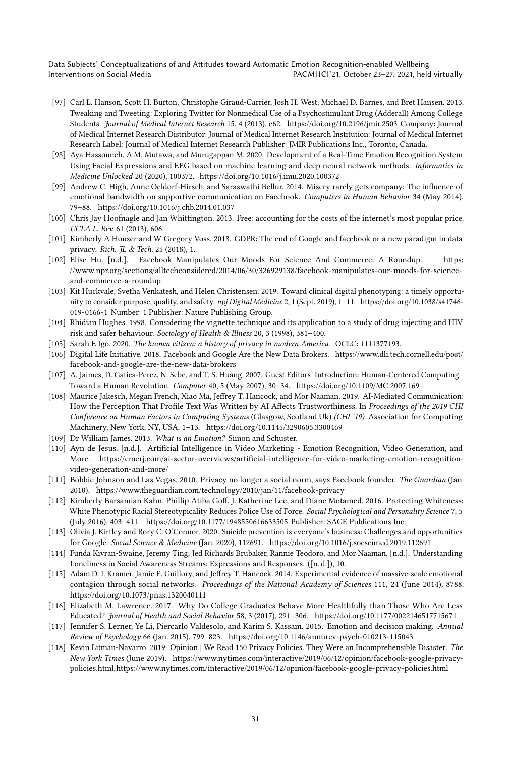- <span id="page-30-7"></span>[97] Carl L. Hanson, Scott H. Burton, Christophe Giraud-Carrier, Josh H. West, Michael D. Barnes, and Bret Hansen. 2013. Tweaking and Tweeting: Exploring Twitter for Nonmedical Use of a Psychostimulant Drug (Adderall) Among College Students. Journal of Medical Internet Research 15, 4 (2013), e62.<https://doi.org/10.2196/jmir.2503> Company: Journal of Medical Internet Research Distributor: Journal of Medical Internet Research Institution: Journal of Medical Internet Research Label: Journal of Medical Internet Research Publisher: JMIR Publications Inc., Toronto, Canada.
- <span id="page-30-14"></span>[98] Aya Hassouneh, A.M. Mutawa, and Murugappan M. 2020. Development of a Real-Time Emotion Recognition System Using Facial Expressions and EEG based on machine learning and deep neural network methods. Informatics in Medicine Unlocked 20 (2020), 100372.<https://doi.org/10.1016/j.imu.2020.100372>
- <span id="page-30-9"></span>[99] Andrew C. High, Anne Oeldorf-Hirsch, and Saraswathi Bellur. 2014. Misery rarely gets company: The influence of emotional bandwidth on supportive communication on Facebook. Computers in Human Behavior 34 (May 2014), 79–88.<https://doi.org/10.1016/j.chb.2014.01.037>
- <span id="page-30-16"></span>[100] Chris Jay Hoofnagle and Jan Whittington. 2013. Free: accounting for the costs of the internet's most popular price. UCLA L. Rev. 61 (2013), 606.
- <span id="page-30-17"></span>[101] Kimberly A Houser and W Gregory Voss. 2018. GDPR: The end of Google and facebook or a new paradigm in data privacy. Rich. JL & Tech. 25 (2018), 1.
- <span id="page-30-2"></span>[102] Elise Hu. [n.d.]. Facebook Manipulates Our Moods For Science And Commerce: A Roundup. [https:](https://www.npr.org/sections/alltechconsidered/2014/06/30/326929138/facebook-manipulates-our-moods-for-science-and-commerce-a-roundup) [//www.npr.org/sections/alltechconsidered/2014/06/30/326929138/facebook-manipulates-our-moods-for-science](https://www.npr.org/sections/alltechconsidered/2014/06/30/326929138/facebook-manipulates-our-moods-for-science-and-commerce-a-roundup)[and-commerce-a-roundup](https://www.npr.org/sections/alltechconsidered/2014/06/30/326929138/facebook-manipulates-our-moods-for-science-and-commerce-a-roundup)
- <span id="page-30-3"></span>[103] Kit Huckvale, Svetha Venkatesh, and Helen Christensen. 2019. Toward clinical digital phenotyping: a timely opportunity to consider purpose, quality, and safety. npj Digital Medicine 2, 1 (Sept. 2019), 1–11. [https://doi.org/10.1038/s41746-](https://doi.org/10.1038/s41746-019-0166-1) [019-0166-1](https://doi.org/10.1038/s41746-019-0166-1) Number: 1 Publisher: Nature Publishing Group.
- <span id="page-30-10"></span>[104] Rhidian Hughes. 1998. Considering the vignette technique and its application to a study of drug injecting and HIV risk and safer behaviour. Sociology of Health & Illness 20, 3 (1998), 381–400.
- <span id="page-30-4"></span>[105] Sarah E Igo. 2020. The known citizen: a history of privacy in modern America. OCLC: 1111377193.
- <span id="page-30-20"></span>[106] Digital Life Initiative. 2018. Facebook and Google Are the New Data Brokers. [https://www.dli.tech.cornell.edu/post/](https://www.dli.tech.cornell.edu/post/facebook-and-google-are-the-new-data-brokers) [facebook-and-google-are-the-new-data-brokers](https://www.dli.tech.cornell.edu/post/facebook-and-google-are-the-new-data-brokers)
- <span id="page-30-12"></span>[107] A. Jaimes, D. Gatica-Perez, N. Sebe, and T. S. Huang. 2007. Guest Editors' Introduction: Human-Centered Computing– Toward a Human Revolution. Computer 40, 5 (May 2007), 30–34.<https://doi.org/10.1109/MC.2007.169>
- <span id="page-30-13"></span>[108] Maurice Jakesch, Megan French, Xiao Ma, Jeffrey T. Hancock, and Mor Naaman. 2019. AI-Mediated Communication: How the Perception That Profile Text Was Written by AI Affects Trustworthiness. In Proceedings of the 2019 CHI Conference on Human Factors in Computing Systems (Glasgow, Scotland Uk) (CHI '19). Association for Computing Machinery, New York, NY, USA, 1–13.<https://doi.org/10.1145/3290605.3300469>
- <span id="page-30-6"></span>[109] Dr William James. 2013. What is an Emotion? Simon and Schuster.
- <span id="page-30-15"></span>[110] Ayn de Jesus. [n.d.]. Artificial Intelligence in Video Marketing - Emotion Recognition, Video Generation, and More. [https://emerj.com/ai-sector-overviews/artificial-intelligence-for-video-marketing-emotion-recognition](https://emerj.com/ai-sector-overviews/artificial-intelligence-for-video-marketing-emotion-recognition-video-generation-and-more/)[video-generation-and-more/](https://emerj.com/ai-sector-overviews/artificial-intelligence-for-video-marketing-emotion-recognition-video-generation-and-more/)
- <span id="page-30-21"></span>[111] Bobbie Johnson and Las Vegas. 2010. Privacy no longer a social norm, says Facebook founder. The Guardian (Jan. 2010).<https://www.theguardian.com/technology/2010/jan/11/facebook-privacy>
- <span id="page-30-19"></span>[112] Kimberly Barsamian Kahn, Phillip Atiba Goff, J. Katherine Lee, and Diane Motamed. 2016. Protecting Whiteness: White Phenotypic Racial Stereotypicality Reduces Police Use of Force. Social Psychological and Personality Science 7, 5 (July 2016), 403–411.<https://doi.org/10.1177/1948550616633505> Publisher: SAGE Publications Inc.
- <span id="page-30-8"></span>[113] Olivia J. Kirtley and Rory C. O'Connor. 2020. Suicide prevention is everyone's business: Challenges and opportunities for Google. Social Science & Medicine (Jan. 2020), 112691.<https://doi.org/10.1016/j.socscimed.2019.112691>
- <span id="page-30-5"></span>[114] Funda Kivran-Swaine, Jeremy Ting, Jed Richards Brubaker, Rannie Teodoro, and Mor Naaman. [n.d.]. Understanding Loneliness in Social Awareness Streams: Expressions and Responses. ([n. d.]), 10.
- <span id="page-30-1"></span>[115] Adam D. I. Kramer, Jamie E. Guillory, and Jeffrey T. Hancock. 2014. Experimental evidence of massive-scale emotional contagion through social networks. Proceedings of the National Academy of Sciences 111, 24 (June 2014), 8788. <https://doi.org/10.1073/pnas.1320040111>
- <span id="page-30-11"></span>[116] Elizabeth M. Lawrence. 2017. Why Do College Graduates Behave More Healthfully than Those Who Are Less Educated? Journal of Health and Social Behavior 58, 3 (2017), 291–306.<https://doi.org/10.1177/0022146517715671>
- <span id="page-30-0"></span>[117] Jennifer S. Lerner, Ye Li, Piercarlo Valdesolo, and Karim S. Kassam. 2015. Emotion and decision making. Annual Review of Psychology 66 (Jan. 2015), 799–823.<https://doi.org/10.1146/annurev-psych-010213-115043>
- <span id="page-30-18"></span>[118] Kevin Litman-Navarro. 2019. Opinion | We Read 150 Privacy Policies. They Were an Incomprehensible Disaster. The New York Times (June 2019). [https://www.nytimes.com/interactive/2019/06/12/opinion/facebook-google-privacy](https://www.nytimes.com/interactive/2019/06/12/opinion/facebook-google-privacy-policies.html, https://www.nytimes.com/interactive/2019/06/12/opinion/facebook-google-privacy-policies.html)[policies.html,https://www.nytimes.com/interactive/2019/06/12/opinion/facebook-google-privacy-policies.html](https://www.nytimes.com/interactive/2019/06/12/opinion/facebook-google-privacy-policies.html, https://www.nytimes.com/interactive/2019/06/12/opinion/facebook-google-privacy-policies.html)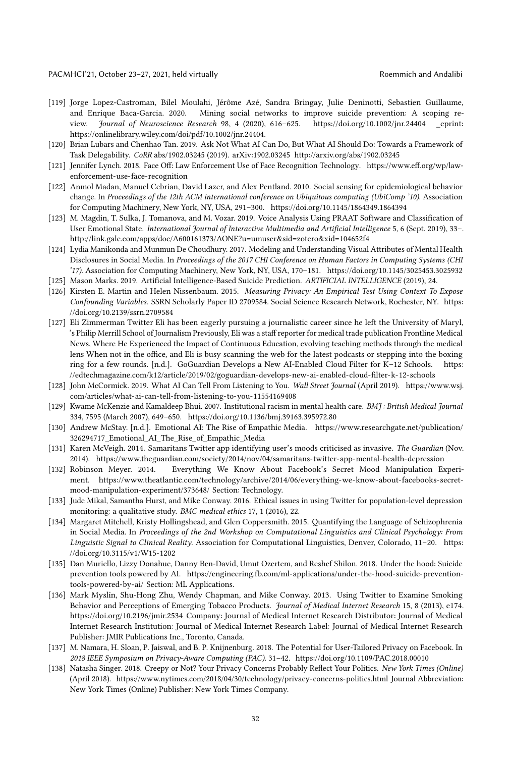- <span id="page-31-12"></span>[119] Jorge Lopez-Castroman, Bilel Moulahi, Jérôme Azé, Sandra Bringay, Julie Deninotti, Sebastien Guillaume, and Enrique Baca-Garcia. 2020. Mining social networks to improve suicide prevention: A scoping review. Journal of Neuroscience Research 98, 4 (2020), 616-625.<https://doi.org/10.1002/jnr.24404> eprint: https://onlinelibrary.wiley.com/doi/pdf/10.1002/jnr.24404.
- <span id="page-31-14"></span>[120] Brian Lubars and Chenhao Tan. 2019. Ask Not What AI Can Do, But What AI Should Do: Towards a Framework of Task Delegability. CoRR abs/1902.03245 (2019). arXiv[:1902.03245](https://arxiv.org/abs/1902.03245)<http://arxiv.org/abs/1902.03245>
- <span id="page-31-15"></span>[121] Jennifer Lynch. 2018. Face Off: Law Enforcement Use of Face Recognition Technology. [https://www.eff.org/wp/law](https://www.eff.org/wp/law-enforcement-use-face-recognition)[enforcement-use-face-recognition](https://www.eff.org/wp/law-enforcement-use-face-recognition)
- <span id="page-31-4"></span>[122] Anmol Madan, Manuel Cebrian, David Lazer, and Alex Pentland. 2010. Social sensing for epidemiological behavior change. In Proceedings of the 12th ACM international conference on Ubiquitous computing (UbiComp '10). Association for Computing Machinery, New York, NY, USA, 291–300.<https://doi.org/10.1145/1864349.1864394>
- <span id="page-31-5"></span>[123] M. Magdin, T. Sulka, J. Tomanova, and M. Vozar. 2019. Voice Analysis Using PRAAT Software and Classification of User Emotional State. International Journal of Interactive Multimedia and Artificial Intelligence 5, 6 (Sept. 2019), 33–. <http://link.gale.com/apps/doc/A600161373/AONE?u=umuser&sid=zotero&xid=104652f4>
- <span id="page-31-6"></span>[124] Lydia Manikonda and Munmun De Choudhury. 2017. Modeling and Understanding Visual Attributes of Mental Health Disclosures in Social Media. In Proceedings of the 2017 CHI Conference on Human Factors in Computing Systems (CHI '17). Association for Computing Machinery, New York, NY, USA, 170–181.<https://doi.org/10.1145/3025453.3025932>
- <span id="page-31-3"></span>[125] Mason Marks. 2019. Artificial Intelligence-Based Suicide Prediction. ARTIFICIAL INTELLIGENCE (2019), 24.
- <span id="page-31-18"></span>[126] Kirsten E. Martin and Helen Nissenbaum. 2015. Measuring Privacy: An Empirical Test Using Context To Expose Confounding Variables. SSRN Scholarly Paper ID 2709584. Social Science Research Network, Rochester, NY. [https:](https://doi.org/10.2139/ssrn.2709584) [//doi.org/10.2139/ssrn.2709584](https://doi.org/10.2139/ssrn.2709584)
- <span id="page-31-19"></span>[127] Eli Zimmerman Twitter Eli has been eagerly pursuing a journalistic career since he left the University of Maryl, 's Philip Merrill School of Journalism Previously, Eli was a staff reporter for medical trade publication Frontline Medical News, Where He Experienced the Impact of Continuous Education, evolving teaching methods through the medical lens When not in the office, and Eli is busy scanning the web for the latest podcasts or stepping into the boxing ring for a few rounds. [n.d.]. GoGuardian Develops a New AI-Enabled Cloud Filter for K–12 Schools. [https:](https://edtechmagazine.com/k12/article/2019/02/goguardian-develops-new-ai-enabled-cloud-filter-k-12-schools) [//edtechmagazine.com/k12/article/2019/02/goguardian-develops-new-ai-enabled-cloud-filter-k-12-schools](https://edtechmagazine.com/k12/article/2019/02/goguardian-develops-new-ai-enabled-cloud-filter-k-12-schools)
- <span id="page-31-13"></span>[128] John McCormick. 2019. What AI Can Tell From Listening to You. Wall Street Journal (April 2019). [https://www.wsj.](https://www.wsj.com/articles/what-ai-can-tell-from-listening-to-you-11554169408) [com/articles/what-ai-can-tell-from-listening-to-you-11554169408](https://www.wsj.com/articles/what-ai-can-tell-from-listening-to-you-11554169408)
- <span id="page-31-17"></span>[129] Kwame McKenzie and Kamaldeep Bhui. 2007. Institutional racism in mental health care. BMJ : British Medical Journal 334, 7595 (March 2007), 649–650.<https://doi.org/10.1136/bmj.39163.395972.80>
- <span id="page-31-1"></span>[130] Andrew McStay. [n.d.]. Emotional AI: The Rise of Empathic Media. [https://www.researchgate.net/publication/](https://www.researchgate.net/publication/326294717_Emotional_AI_The_Rise_of_Empathic_Media) 326294717 Emotional AI The Rise of Empathic Media
- <span id="page-31-10"></span>[131] Karen McVeigh. 2014. Samaritans Twitter app identifying user's moods criticised as invasive. The Guardian (Nov. 2014).<https://www.theguardian.com/society/2014/nov/04/samaritans-twitter-app-mental-health-depression>
- <span id="page-31-0"></span>[132] Robinson Meyer. 2014. Everything We Know About Facebook's Secret Mood Manipulation Experiment. [https://www.theatlantic.com/technology/archive/2014/06/everything-we-know-about-facebooks-secret](https://www.theatlantic.com/technology/archive/2014/06/everything-we-know-about-facebooks-secret-mood-manipulation-experiment/373648/)[mood-manipulation-experiment/373648/](https://www.theatlantic.com/technology/archive/2014/06/everything-we-know-about-facebooks-secret-mood-manipulation-experiment/373648/) Section: Technology.
- <span id="page-31-2"></span>[133] Jude Mikal, Samantha Hurst, and Mike Conway. 2016. Ethical issues in using Twitter for population-level depression monitoring: a qualitative study. BMC medical ethics 17, 1 (2016), 22.
- <span id="page-31-7"></span>[134] Margaret Mitchell, Kristy Hollingshead, and Glen Coppersmith. 2015. Quantifying the Language of Schizophrenia in Social Media. In Proceedings of the 2nd Workshop on Computational Linguistics and Clinical Psychology: From Linguistic Signal to Clinical Reality. Association for Computational Linguistics, Denver, Colorado, 11–20. [https:](https://doi.org/10.3115/v1/W15-1202) [//doi.org/10.3115/v1/W15-1202](https://doi.org/10.3115/v1/W15-1202)
- <span id="page-31-9"></span>[135] Dan Muriello, Lizzy Donahue, Danny Ben-David, Umut Ozertem, and Reshef Shilon. 2018. Under the hood: Suicide prevention tools powered by AI. [https://engineering.fb.com/ml-applications/under-the-hood-suicide-prevention](https://engineering.fb.com/ml-applications/under-the-hood-suicide-prevention-tools-powered-by-ai/)[tools-powered-by-ai/](https://engineering.fb.com/ml-applications/under-the-hood-suicide-prevention-tools-powered-by-ai/) Section: ML Applications.
- <span id="page-31-8"></span>[136] Mark Myslín, Shu-Hong Zhu, Wendy Chapman, and Mike Conway. 2013. Using Twitter to Examine Smoking Behavior and Perceptions of Emerging Tobacco Products. *Journal of Medical Internet Research* 15, 8 (2013), e174. <https://doi.org/10.2196/jmir.2534> Company: Journal of Medical Internet Research Distributor: Journal of Medical Internet Research Institution: Journal of Medical Internet Research Label: Journal of Medical Internet Research Publisher: JMIR Publications Inc., Toronto, Canada.
- <span id="page-31-16"></span>[137] M. Namara, H. Sloan, P. Jaiswal, and B. P. Knijnenburg. 2018. The Potential for User-Tailored Privacy on Facebook. In 2018 IEEE Symposium on Privacy-Aware Computing (PAC). 31–42.<https://doi.org/10.1109/PAC.2018.00010>
- <span id="page-31-11"></span>[138] Natasha Singer. 2018. Creepy or Not? Your Privacy Concerns Probably Reflect Your Politics. New York Times (Online) (April 2018).<https://www.nytimes.com/2018/04/30/technology/privacy-concerns-politics.html> Journal Abbreviation: New York Times (Online) Publisher: New York Times Company.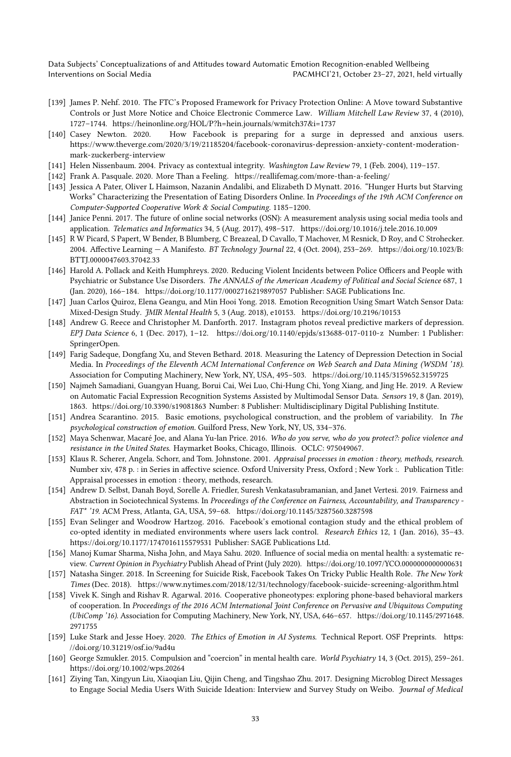- <span id="page-32-18"></span>[139] James P. Nehf. 2010. The FTC's Proposed Framework for Privacy Protection Online: A Move toward Substantive Controls or Just More Notice and Choice Electronic Commerce Law. William Mitchell Law Review 37, 4 (2010), 1727–1744.<https://heinonline.org/HOL/P?h=hein.journals/wmitch37&i=1737>
- <span id="page-32-16"></span>[140] Casey Newton. 2020. How Facebook is preparing for a surge in depressed and anxious users. [https://www.theverge.com/2020/3/19/21185204/facebook-coronavirus-depression-anxiety-content-moderation](https://www.theverge.com/2020/3/19/21185204/facebook-coronavirus-depression-anxiety-content-moderation-mark-zuckerberg-interview)[mark-zuckerberg-interview](https://www.theverge.com/2020/3/19/21185204/facebook-coronavirus-depression-anxiety-content-moderation-mark-zuckerberg-interview)
- <span id="page-32-22"></span>[141] Helen Nissenbaum. 2004. Privacy as contextual integrity. Washington Law Review 79, 1 (Feb. 2004), 119–157.
- <span id="page-32-7"></span>[142] Frank A. Pasquale. 2020. More Than a Feeling.<https://reallifemag.com/more-than-a-feeling/>
- <span id="page-32-17"></span>[143] Jessica A Pater, Oliver L Haimson, Nazanin Andalibi, and Elizabeth D Mynatt. 2016. "Hunger Hurts but Starving Works" Characterizing the Presentation of Eating Disorders Online. In Proceedings of the 19th ACM Conference on Computer-Supported Cooperative Work & Social Computing. 1185–1200.
- <span id="page-32-2"></span>[144] Janice Penni. 2017. The future of online social networks (OSN): A measurement analysis using social media tools and application. Telematics and Informatics 34, 5 (Aug. 2017), 498–517.<https://doi.org/10.1016/j.tele.2016.10.009>
- <span id="page-32-11"></span>[145] R W Picard, S Papert, W Bender, B Blumberg, C Breazeal, D Cavallo, T Machover, M Resnick, D Roy, and C Strohecker. 2004. Affective Learning — A Manifesto. BT Technology Journal 22, 4 (Oct. 2004), 253–269. [https://doi.org/10.1023/B:](https://doi.org/10.1023/B:BTTJ.0000047603.37042.33) [BTTJ.0000047603.37042.33](https://doi.org/10.1023/B:BTTJ.0000047603.37042.33)
- <span id="page-32-20"></span>[146] Harold A. Pollack and Keith Humphreys. 2020. Reducing Violent Incidents between Police Officers and People with Psychiatric or Substance Use Disorders. The ANNALS of the American Academy of Political and Social Science 687, 1 (Jan. 2020), 166–184.<https://doi.org/10.1177/0002716219897057> Publisher: SAGE Publications Inc.
- <span id="page-32-9"></span>[147] Juan Carlos Quiroz, Elena Geangu, and Min Hooi Yong. 2018. Emotion Recognition Using Smart Watch Sensor Data: Mixed-Design Study. JMIR Mental Health 5, 3 (Aug. 2018), e10153.<https://doi.org/10.2196/10153>
- <span id="page-32-3"></span>[148] Andrew G. Reece and Christopher M. Danforth. 2017. Instagram photos reveal predictive markers of depression. EPJ Data Science 6, 1 (Dec. 2017), 1–12.<https://doi.org/10.1140/epjds/s13688-017-0110-z> Number: 1 Publisher: SpringerOpen.
- <span id="page-32-14"></span>[149] Farig Sadeque, Dongfang Xu, and Steven Bethard. 2018. Measuring the Latency of Depression Detection in Social Media. In Proceedings of the Eleventh ACM International Conference on Web Search and Data Mining (WSDM '18). Association for Computing Machinery, New York, NY, USA, 495–503.<https://doi.org/10.1145/3159652.3159725>
- <span id="page-32-10"></span>[150] Najmeh Samadiani, Guangyan Huang, Borui Cai, Wei Luo, Chi-Hung Chi, Yong Xiang, and Jing He. 2019. A Review on Automatic Facial Expression Recognition Systems Assisted by Multimodal Sensor Data. Sensors 19, 8 (Jan. 2019), 1863.<https://doi.org/10.3390/s19081863> Number: 8 Publisher: Multidisciplinary Digital Publishing Institute.
- <span id="page-32-13"></span>[151] Andrea Scarantino. 2015. Basic emotions, psychological construction, and the problem of variability. In The psychological construction of emotion. Guilford Press, New York, NY, US, 334–376.
- <span id="page-32-21"></span>[152] Maya Schenwar, Macaré Joe, and Alana Yu-lan Price. 2016. Who do you serve, who do you protect?: police violence and resistance in the United States. Haymarket Books, Chicago, Illinois. OCLC: 975049067.
- <span id="page-32-12"></span>[153] Klaus R. Scherer, Angela. Schorr, and Tom. Johnstone. 2001. Appraisal processes in emotion : theory, methods, research. Number xiv, 478 p. : in Series in affective science. Oxford University Press, Oxford ; New York :. Publication Title: Appraisal processes in emotion : theory, methods, research.
- <span id="page-32-6"></span>[154] Andrew D. Selbst, Danah Boyd, Sorelle A. Friedler, Suresh Venkatasubramanian, and Janet Vertesi. 2019. Fairness and Abstraction in Sociotechnical Systems. In Proceedings of the Conference on Fairness, Accountability, and Transparency -FAT\* '19. ACM Press, Atlanta, GA, USA, 59–68.<https://doi.org/10.1145/3287560.3287598>
- <span id="page-32-1"></span>[155] Evan Selinger and Woodrow Hartzog. 2016. Facebook's emotional contagion study and the ethical problem of co-opted identity in mediated environments where users lack control. Research Ethics 12, 1 (Jan. 2016), 35–43. <https://doi.org/10.1177/1747016115579531> Publisher: SAGE Publications Ltd.
- <span id="page-32-0"></span>[156] Manoj Kumar Sharma, Nisha John, and Maya Sahu. 2020. Influence of social media on mental health: a systematic review. Current Opinion in Psychiatry Publish Ahead of Print (July 2020).<https://doi.org/10.1097/YCO.0000000000000631>
- <span id="page-32-5"></span>[157] Natasha Singer. 2018. In Screening for Suicide Risk, Facebook Takes On Tricky Public Health Role. The New York Times (Dec. 2018).<https://www.nytimes.com/2018/12/31/technology/facebook-suicide-screening-algorithm.html>
- <span id="page-32-4"></span>[158] Vivek K. Singh and Rishav R. Agarwal. 2016. Cooperative phoneotypes: exploring phone-based behavioral markers of cooperation. In Proceedings of the 2016 ACM International Joint Conference on Pervasive and Ubiquitous Computing (UbiComp '16). Association for Computing Machinery, New York, NY, USA, 646–657. [https://doi.org/10.1145/2971648.](https://doi.org/10.1145/2971648.2971755) [2971755](https://doi.org/10.1145/2971648.2971755)
- <span id="page-32-8"></span>[159] Luke Stark and Jesse Hoey. 2020. The Ethics of Emotion in AI Systems. Technical Report. OSF Preprints. [https:](https://doi.org/10.31219/osf.io/9ad4u) [//doi.org/10.31219/osf.io/9ad4u](https://doi.org/10.31219/osf.io/9ad4u)
- <span id="page-32-19"></span>[160] George Szmukler. 2015. Compulsion and "coercion" in mental health care. World Psychiatry 14, 3 (Oct. 2015), 259–261. <https://doi.org/10.1002/wps.20264>
- <span id="page-32-15"></span>[161] Ziying Tan, Xingyun Liu, Xiaoqian Liu, Qijin Cheng, and Tingshao Zhu. 2017. Designing Microblog Direct Messages to Engage Social Media Users With Suicide Ideation: Interview and Survey Study on Weibo. Journal of Medical